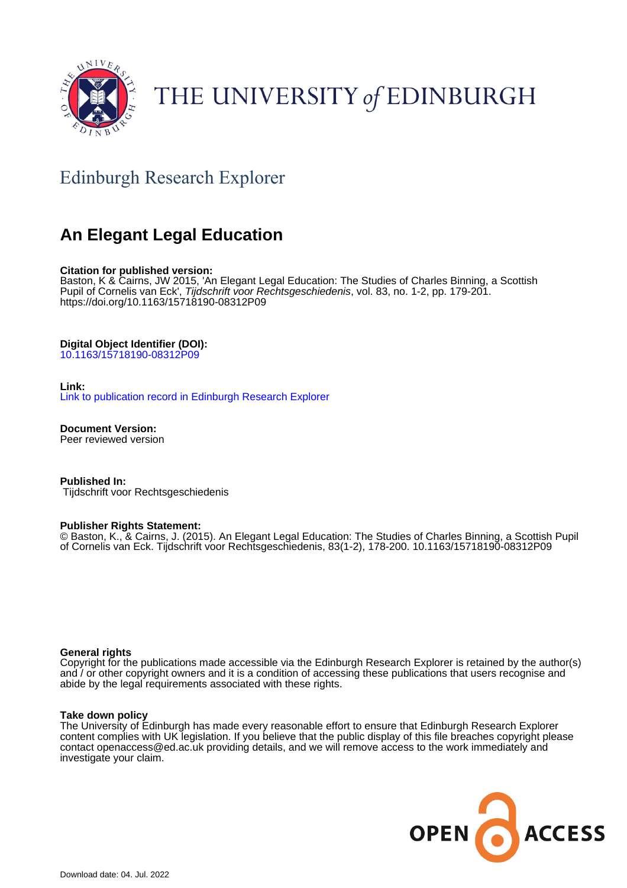

# THE UNIVERSITY of EDINBURGH

# Edinburgh Research Explorer

# **An Elegant Legal Education**

# **Citation for published version:**

Baston, K & Cairns, JW 2015, 'An Elegant Legal Education: The Studies of Charles Binning, a Scottish Pupil of Cornelis van Eck', Tijdschrift voor Rechtsgeschiedenis, vol. 83, no. 1-2, pp. 179-201. <https://doi.org/10.1163/15718190-08312P09>

# **Digital Object Identifier (DOI):**

[10.1163/15718190-08312P09](https://doi.org/10.1163/15718190-08312P09)

# **Link:**

[Link to publication record in Edinburgh Research Explorer](https://www.research.ed.ac.uk/en/publications/2edefb9a-ea6f-417a-a279-dbeee7847b5e)

**Document Version:** Peer reviewed version

**Published In:** Tijdschrift voor Rechtsgeschiedenis

# **Publisher Rights Statement:**

© Baston, K., & Cairns, J. (2015). An Elegant Legal Education: The Studies of Charles Binning, a Scottish Pupil of Cornelis van Eck. Tijdschrift voor Rechtsgeschiedenis, 83(1-2), 178-200. 10.1163/15718190-08312P09

# **General rights**

Copyright for the publications made accessible via the Edinburgh Research Explorer is retained by the author(s) and / or other copyright owners and it is a condition of accessing these publications that users recognise and abide by the legal requirements associated with these rights.

# **Take down policy**

The University of Edinburgh has made every reasonable effort to ensure that Edinburgh Research Explorer content complies with UK legislation. If you believe that the public display of this file breaches copyright please contact openaccess@ed.ac.uk providing details, and we will remove access to the work immediately and investigate your claim.

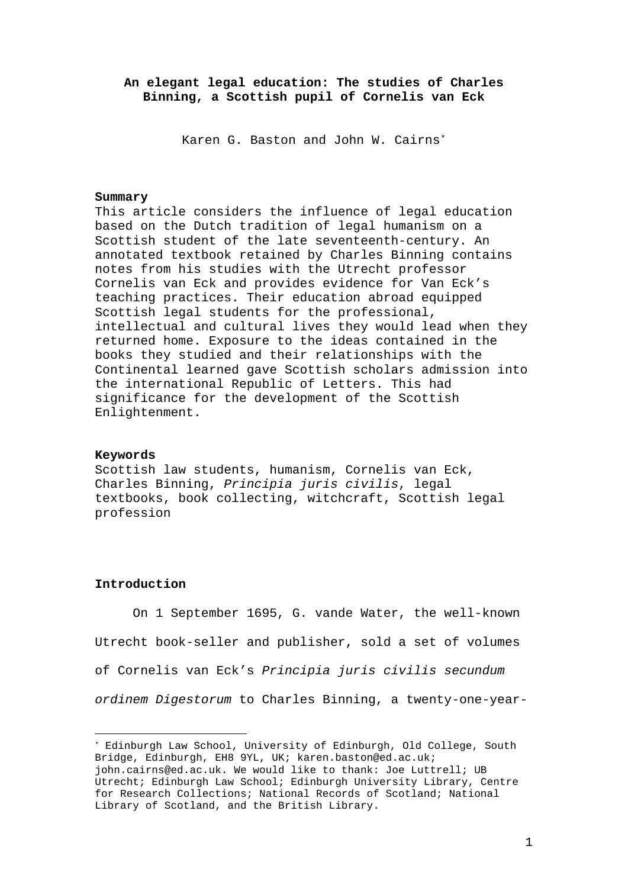# **An elegant legal education: The studies of Charles Binning, a Scottish pupil of Cornelis van Eck**

Karen G. Baston and John W. Cairns[\\*](#page-1-0)

#### **Summary**

This article considers the influence of legal education based on the Dutch tradition of legal humanism on a Scottish student of the late seventeenth-century. An annotated textbook retained by Charles Binning contains notes from his studies with the Utrecht professor Cornelis van Eck and provides evidence for Van Eck's teaching practices. Their education abroad equipped Scottish legal students for the professional, intellectual and cultural lives they would lead when they returned home. Exposure to the ideas contained in the books they studied and their relationships with the Continental learned gave Scottish scholars admission into the international Republic of Letters. This had significance for the development of the Scottish Enlightenment.

#### **Keywords**

Scottish law students, humanism, Cornelis van Eck, Charles Binning, *Principia juris civilis*, legal textbooks, book collecting, witchcraft, Scottish legal profession

# **Introduction**

—

On 1 September 1695, G. vande Water, the well-known Utrecht book-seller and publisher, sold a set of volumes of Cornelis van Eck's *Principia juris civilis secundum ordinem Digestorum* to Charles Binning, a twenty-one-year-

<span id="page-1-0"></span><sup>\*</sup> Edinburgh Law School, University of Edinburgh, Old College, South Bridge, Edinburgh, EH8 9YL, UK; karen.baston@ed.ac.uk; john.cairns@ed.ac.uk. We would like to thank: Joe Luttrell; UB Utrecht; Edinburgh Law School; Edinburgh University Library, Centre for Research Collections; National Records of Scotland; National Library of Scotland, and the British Library.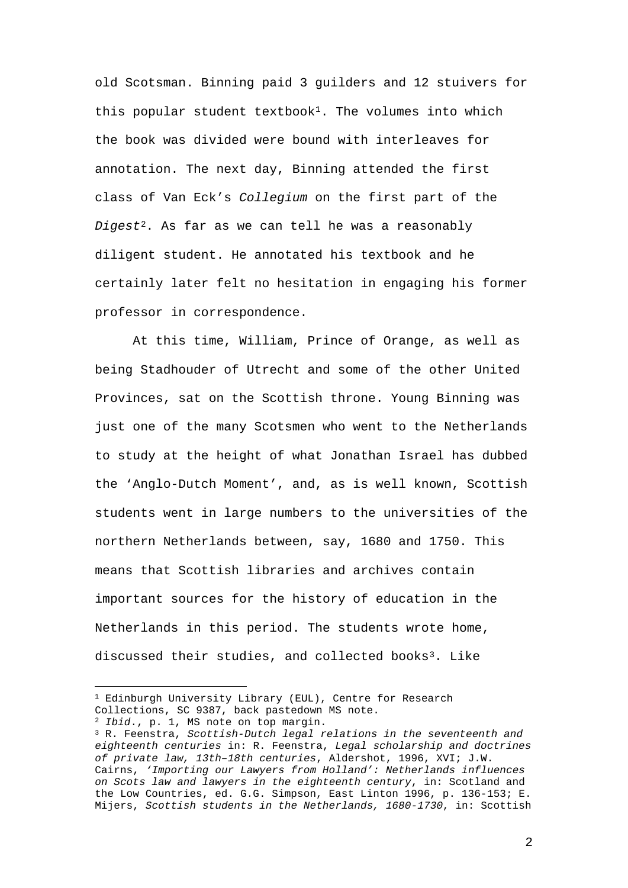old Scotsman. Binning paid 3 guilders and 12 stuivers for this popular student textbook<sup>[1](#page-2-0)</sup>. The volumes into which the book was divided were bound with interleaves for annotation. The next day, Binning attended the first class of Van Eck's *Collegium* on the first part of the *Digest*[2.](#page-2-1) As far as we can tell he was a reasonably diligent student. He annotated his textbook and he certainly later felt no hesitation in engaging his former professor in correspondence.

At this time, William, Prince of Orange, as well as being Stadhouder of Utrecht and some of the other United Provinces, sat on the Scottish throne. Young Binning was just one of the many Scotsmen who went to the Netherlands to study at the height of what Jonathan Israel has dubbed the 'Anglo-Dutch Moment', and, as is well known, Scottish students went in large numbers to the universities of the northern Netherlands between, say, 1680 and 1750. This means that Scottish libraries and archives contain important sources for the history of education in the Netherlands in this period. The students wrote home, discussed their studies, and collected books<sup>[3](#page-2-2)</sup>. Like

<span id="page-2-0"></span><sup>—&</sup>lt;br>— <sup>1</sup> Edinburgh University Library (EUL), Centre for Research Collections, SC 9387, back pastedown MS note.

<sup>2</sup> *Ibid*., p. 1, MS note on top margin.

<span id="page-2-2"></span><span id="page-2-1"></span><sup>3</sup> R. Feenstra, *Scottish-Dutch legal relations in the seventeenth and eighteenth centuries* in: R. Feenstra, *Legal scholarship and doctrines of private law, 13th–18th centuries*, Aldershot, 1996, XVI; J.W. Cairns, *'Importing our Lawyers from Holland': Netherlands influences on Scots law and lawyers in the eighteenth century*, in: Scotland and the Low Countries, ed. G.G. Simpson, East Linton 1996, p. 136-153; E. Mijers, *Scottish students in the Netherlands, 1680-1730*, in: Scottish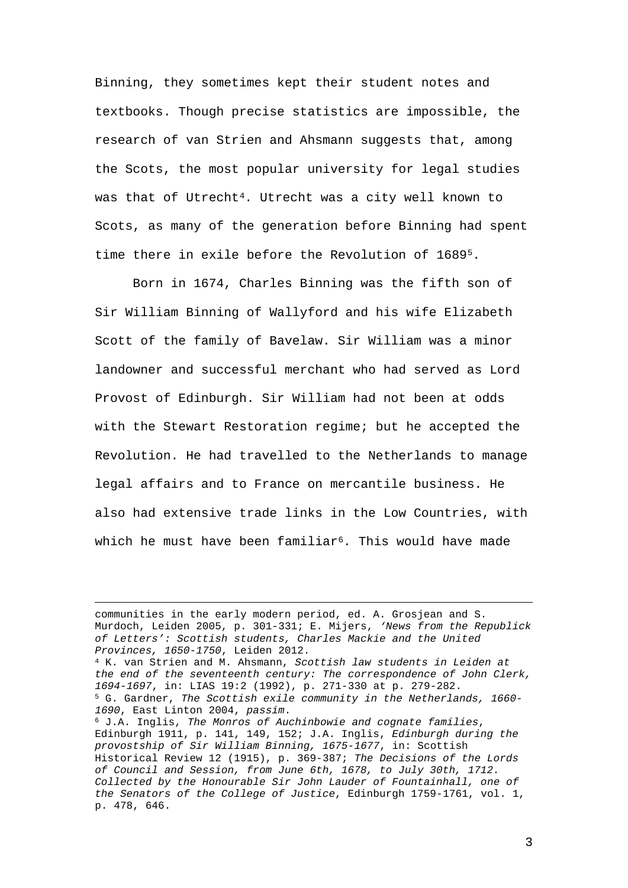Binning, they sometimes kept their student notes and textbooks. Though precise statistics are impossible, the research of van Strien and Ahsmann suggests that, among the Scots, the most popular university for legal studies was that of Utrecht<sup>[4](#page-3-0)</sup>. Utrecht was a city well known to Scots, as many of the generation before Binning had spent time there in exile before the Revolution of 1689[5](#page-3-1).

Born in 1674, Charles Binning was the fifth son of Sir William Binning of Wallyford and his wife Elizabeth Scott of the family of Bavelaw. Sir William was a minor landowner and successful merchant who had served as Lord Provost of Edinburgh. Sir William had not been at odds with the Stewart Restoration regime; but he accepted the Revolution. He had travelled to the Netherlands to manage legal affairs and to France on mercantile business. He also had extensive trade links in the Low Countries, with which he must have been familiar<sup>6</sup>. This would have made

communities in the early modern period, ed. A. Grosjean and S. Murdoch, Leiden 2005, p. 301-331; E. Mijers, *'News from the Republick of Letters': Scottish students, Charles Mackie and the United Provinces, 1650-1750*, Leiden 2012. <sup>4</sup> K. van Strien and M. Ahsmann, *Scottish law students in Leiden at* 

<span id="page-3-0"></span>*the end of the seventeenth century: The correspondence of John Clerk, 1694-1697*, in: LIAS 19:2 (1992), p. 271-330 at p. 279-282. <sup>5</sup> G. Gardner, *The Scottish exile community in the Netherlands, 1660-*

<span id="page-3-2"></span><span id="page-3-1"></span>*<sup>1690</sup>*, East Linton 2004, *passim*. 6 J.A. Inglis, *The Monros of Auchinbowie and cognate families*, Edinburgh 1911, p. 141, 149, 152; J.A. Inglis, *Edinburgh during the provostship of Sir William Binning, 1675-1677*, in: Scottish Historical Review 12 (1915), p. 369-387; *The Decisions of the Lords of Council and Session, from June 6th, 1678, to July 30th, 1712. Collected by the Honourable Sir John Lauder of Fountainhall, one of the Senators of the College of Justice*, Edinburgh 1759-1761, vol. 1, p. 478, 646.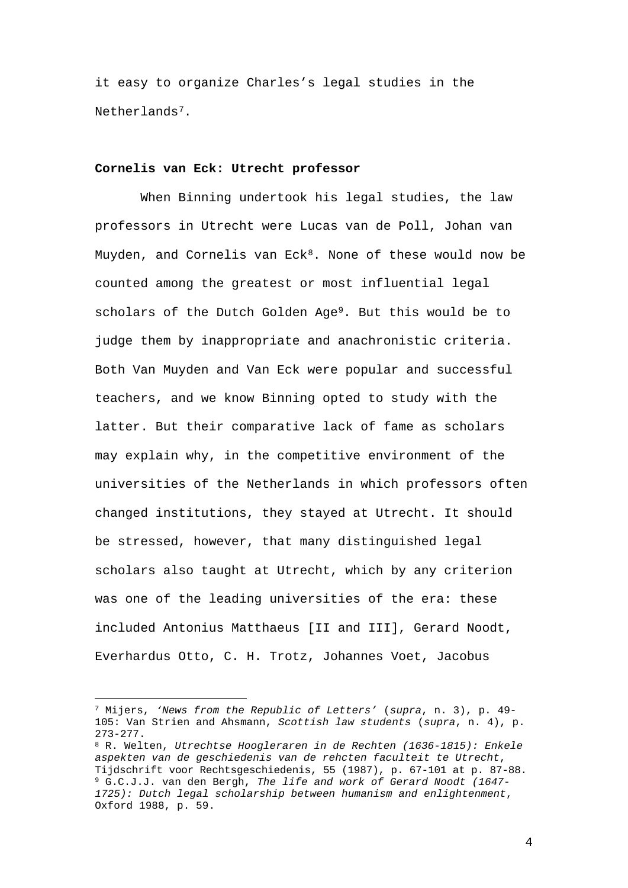it easy to organize Charles's legal studies in the Netherlands[7.](#page-4-0)

# **Cornelis van Eck: Utrecht professor**

When Binning undertook his legal studies, the law professors in Utrecht were Lucas van de Poll, Johan van Muyden, and Cornelis van  $Eck<sup>8</sup>$ . None of these would now be counted among the greatest or most influential legal scholars of the Dutch Golden Age[9.](#page-4-2) But this would be to judge them by inappropriate and anachronistic criteria. Both Van Muyden and Van Eck were popular and successful teachers, and we know Binning opted to study with the latter. But their comparative lack of fame as scholars may explain why, in the competitive environment of the universities of the Netherlands in which professors often changed institutions, they stayed at Utrecht. It should be stressed, however, that many distinguished legal scholars also taught at Utrecht, which by any criterion was one of the leading universities of the era: these included Antonius Matthaeus [II and III], Gerard Noodt, Everhardus Otto, C. H. Trotz, Johannes Voet, Jacobus

<span id="page-4-0"></span><sup>—</sup> <sup>7</sup> Mijers, *'News from the Republic of Letters'* (*supra*, n. 3), p. 49- 105: Van Strien and Ahsmann, *Scottish law students* (*supra*, n. 4), p. 273-277.

<span id="page-4-2"></span><span id="page-4-1"></span><sup>8</sup> R. Welten, *Utrechtse Hoogleraren in de Rechten (1636-1815): Enkele aspekten van de geschiedenis van de rehcten faculteit te Utrecht*, Tijdschrift voor Rechtsgeschiedenis, 55 (1987), p. 67-101 at p. 87-88. <sup>9</sup> G.C.J.J. van den Bergh, *The life and work of Gerard Noodt (1647- 1725): Dutch legal scholarship between humanism and enlightenment*, Oxford 1988, p. 59.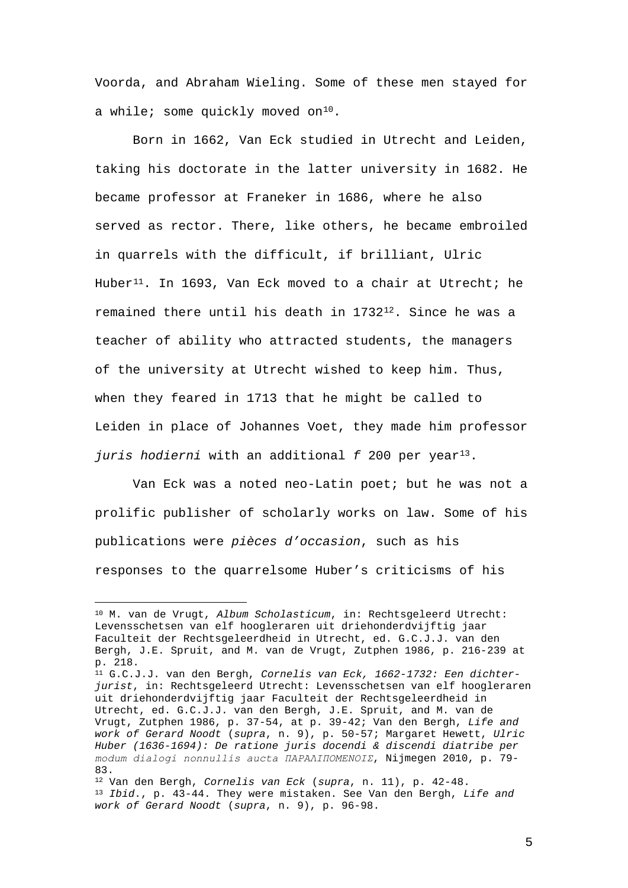Voorda, and Abraham Wieling. Some of these men stayed for a while; some quickly moved on<sup>10</sup>.

Born in 1662, Van Eck studied in Utrecht and Leiden, taking his doctorate in the latter university in 1682. He became professor at Franeker in 1686, where he also served as rector. There, like others, he became embroiled in quarrels with the difficult, if brilliant, Ulric Huber<sup>[11](#page-5-1)</sup>. In 1693, Van Eck moved to a chair at Utrecht; he remained there until his death in  $1732^{12}$ . Since he was a teacher of ability who attracted students, the managers of the university at Utrecht wished to keep him. Thus, when they feared in 1713 that he might be called to Leiden in place of Johannes Voet, they made him professor *juris hodierni* with an additional *f* 200 per year<sup>13</sup>.

Van Eck was a noted neo-Latin poet; but he was not a prolific publisher of scholarly works on law. Some of his publications were *pièces d'occasion*, such as his responses to the quarrelsome Huber's criticisms of his

<span id="page-5-0"></span><sup>—</sup> <sup>10</sup> M. van de Vrugt, *Album Scholasticum*, in: Rechtsgeleerd Utrecht: Levensschetsen van elf hoogleraren uit driehonderdvijftig jaar Faculteit der Rechtsgeleerdheid in Utrecht, ed. G.C.J.J. van den Bergh, J.E. Spruit, and M. van de Vrugt, Zutphen 1986, p. 216-239 at p. 218.

<span id="page-5-1"></span><sup>11</sup> G.C.J.J. van den Bergh, *Cornelis van Eck, 1662-1732: Een dichterjurist*, in: Rechtsgeleerd Utrecht: Levensschetsen van elf hoogleraren uit driehonderdvijftig jaar Faculteit der Rechtsgeleerdheid in Utrecht, ed. G.C.J.J. van den Bergh, J.E. Spruit, and M. van de Vrugt, Zutphen 1986, p. 37-54, at p. 39-42; Van den Bergh, *Life and work of Gerard Noodt* (*supra*, n. 9), p. 50-57; Margaret Hewett, *Ulric Huber (1636-1694): De ratione juris docendi & discendi diatribe per modum dialogi nonnullis aucta ΠΑΡΑΛΙΠΟΜΕΝΟΙΣ*, Nijmegen 2010, p. 79- 83.

<span id="page-5-3"></span><span id="page-5-2"></span><sup>12</sup> Van den Bergh, *Cornelis van Eck* (*supra*, n. 11), p. 42-48. <sup>13</sup> *Ibid*., p. 43-44. They were mistaken. See Van den Bergh, *Life and work of Gerard Noodt* (*supra*, n. 9), p. 96-98.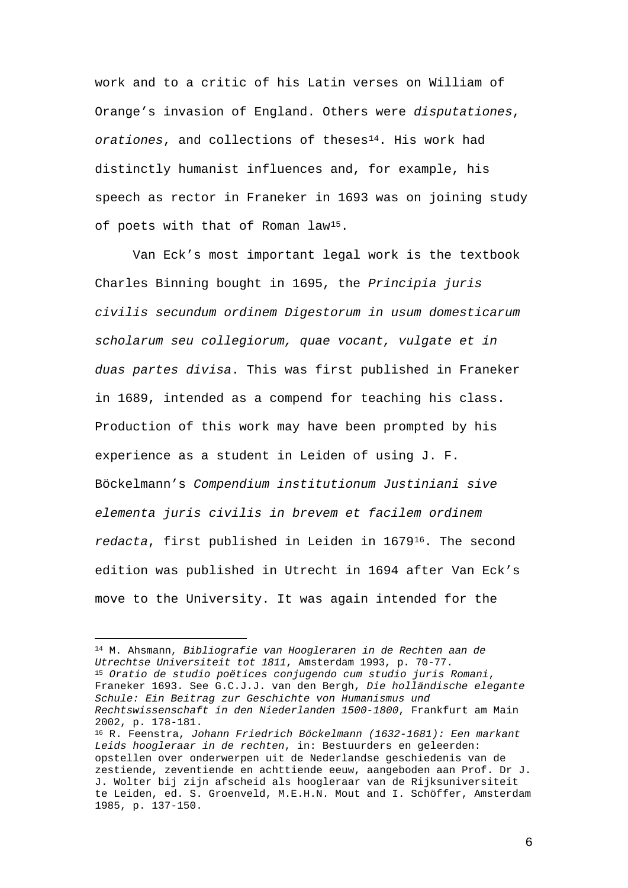work and to a critic of his Latin verses on William of Orange's invasion of England. Others were *disputationes*, orationes, and collections of theses<sup>[14](#page-6-0)</sup>. His work had distinctly humanist influences and, for example, his speech as rector in Franeker in 1693 was on joining study of poets with that of Roman law[15](#page-6-1).

Van Eck's most important legal work is the textbook Charles Binning bought in 1695, the *Principia juris civilis secundum ordinem Digestorum in usum domesticarum scholarum seu collegiorum, quae vocant, vulgate et in duas partes divisa*. This was first published in Franeker in 1689, intended as a compend for teaching his class. Production of this work may have been prompted by his experience as a student in Leiden of using J. F. Böckelmann's *Compendium institutionum Justiniani sive elementa juris civilis in brevem et facilem ordinem redacta*, first published in Leiden in 1679[16](#page-6-2). The second edition was published in Utrecht in 1694 after Van Eck's move to the University. It was again intended for the

—<br>—

<span id="page-6-1"></span><span id="page-6-0"></span><sup>14</sup> M. Ahsmann, *Bibliografie van Hoogleraren in de Rechten aan de Utrechtse Universiteit tot 1811*, Amsterdam 1993, p. 70-77. <sup>15</sup> *Oratio de studio poëtices conjugendo cum studio juris Romani*, Franeker 1693. See G.C.J.J. van den Bergh, *Die holländische elegante Schule: Ein Beitrag zur Geschichte von Humanismus und Rechtswissenschaft in den Niederlanden 1500-1800*, Frankfurt am Main 2002, p. 178-181. <sup>16</sup> R. Feenstra, *Johann Friedrich Böckelmann (1632-1681): Een markant Leids hoogleraar in de rechten*, in: Bestuurders en geleerden: opstellen over onderwerpen uit de Nederlandse geschiedenis van de zestiende, zeventiende en achttiende eeuw, aangeboden aan Prof. Dr J.

<span id="page-6-2"></span>J. Wolter bij zijn afscheid als hoogleraar van de Rijksuniversiteit te Leiden, ed. S. Groenveld, M.E.H.N. Mout and I. Schöffer, Amsterdam 1985, p. 137-150.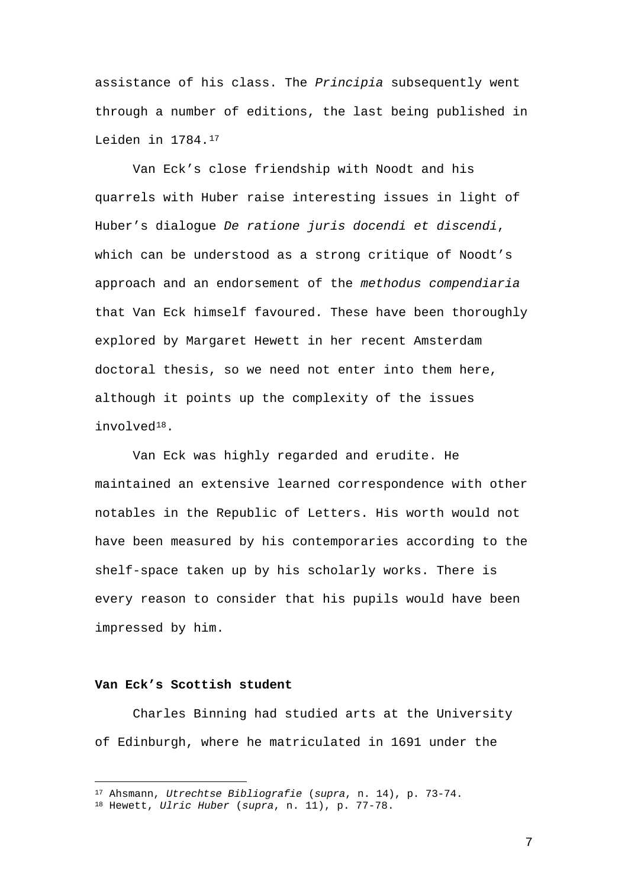assistance of his class. The *Principia* subsequently went through a number of editions, the last being published in Leiden in 1784.[17](#page-7-0)

Van Eck's close friendship with Noodt and his quarrels with Huber raise interesting issues in light of Huber's dialogue *De ratione juris docendi et discendi*, which can be understood as a strong critique of Noodt's approach and an endorsement of the *methodus compendiaria* that Van Eck himself favoured. These have been thoroughly explored by Margaret Hewett in her recent Amsterdam doctoral thesis, so we need not enter into them here, although it points up the complexity of the issues involved[18.](#page-7-1)

Van Eck was highly regarded and erudite. He maintained an extensive learned correspondence with other notables in the Republic of Letters. His worth would not have been measured by his contemporaries according to the shelf-space taken up by his scholarly works. There is every reason to consider that his pupils would have been impressed by him.

# **Van Eck's Scottish student**

Charles Binning had studied arts at the University of Edinburgh, where he matriculated in 1691 under the

<sup>—</sup> <sup>17</sup> Ahsmann, *Utrechtse Bibliografie* (*supra*, n. 14), p. 73-74.

<span id="page-7-1"></span><span id="page-7-0"></span><sup>18</sup> Hewett, *Ulric Huber* (*supra*, n. 11), p. 77-78.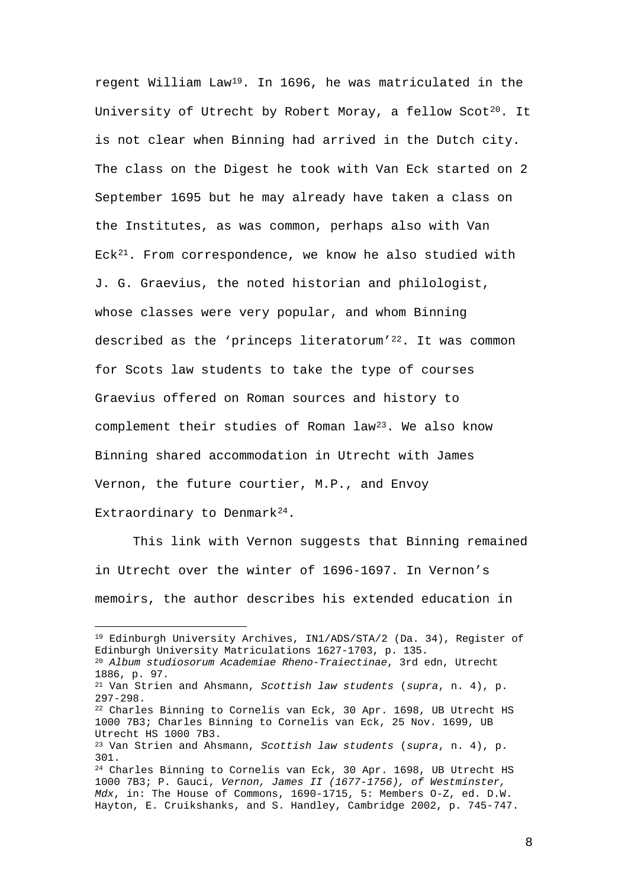regent William Law[19.](#page-8-0) In 1696, he was matriculated in the University of Utrecht by Robert Moray, a fellow Scot<sup>[20](#page-8-1)</sup>. It is not clear when Binning had arrived in the Dutch city. The class on the Digest he took with Van Eck started on 2 September 1695 but he may already have taken a class on the Institutes, as was common, perhaps also with Van Eck<sup>21</sup>. From correspondence, we know he also studied with J. G. Graevius, the noted historian and philologist, whose classes were very popular, and whom Binning described as the 'princeps literatorum'<sup>22</sup>. It was common for Scots law students to take the type of courses Graevius offered on Roman sources and history to complement their studies of Roman law<sup>[23](#page-8-4)</sup>. We also know Binning shared accommodation in Utrecht with James Vernon, the future courtier, M.P., and Envoy Extraordinary to Denmark<sup>24</sup>.

This link with Vernon suggests that Binning remained in Utrecht over the winter of 1696-1697. In Vernon's memoirs, the author describes his extended education in

—

<span id="page-8-5"></span><span id="page-8-4"></span><span id="page-8-3"></span><span id="page-8-2"></span><span id="page-8-1"></span><span id="page-8-0"></span><sup>19</sup> Edinburgh University Archives, IN1/ADS/STA/2 (Da. 34), Register of Edinburgh University Matriculations 1627-1703, p. 135. <sup>20</sup> *Album studiosorum Academiae Rheno-Traiectinae*, 3rd edn, Utrecht 1886, p. 97. <sup>21</sup> Van Strien and Ahsmann, *Scottish law students* (*supra*, n. 4), p. 297-298. <sup>22</sup> Charles Binning to Cornelis van Eck, 30 Apr. 1698, UB Utrecht HS 1000 7B3; Charles Binning to Cornelis van Eck, 25 Nov. 1699, UB Utrecht HS 1000 7B3. <sup>23</sup> Van Strien and Ahsmann, *Scottish law students* (*supra*, n. 4), p. 301. <sup>24</sup> Charles Binning to Cornelis van Eck, 30 Apr. 1698, UB Utrecht HS 1000 7B3; P. Gauci, *Vernon, James II (1677-1756), of Westminster, Mdx*, in: The House of Commons, 1690-1715, 5: Members O-Z, ed. D.W. Hayton, E. Cruikshanks, and S. Handley, Cambridge 2002, p. 745-747.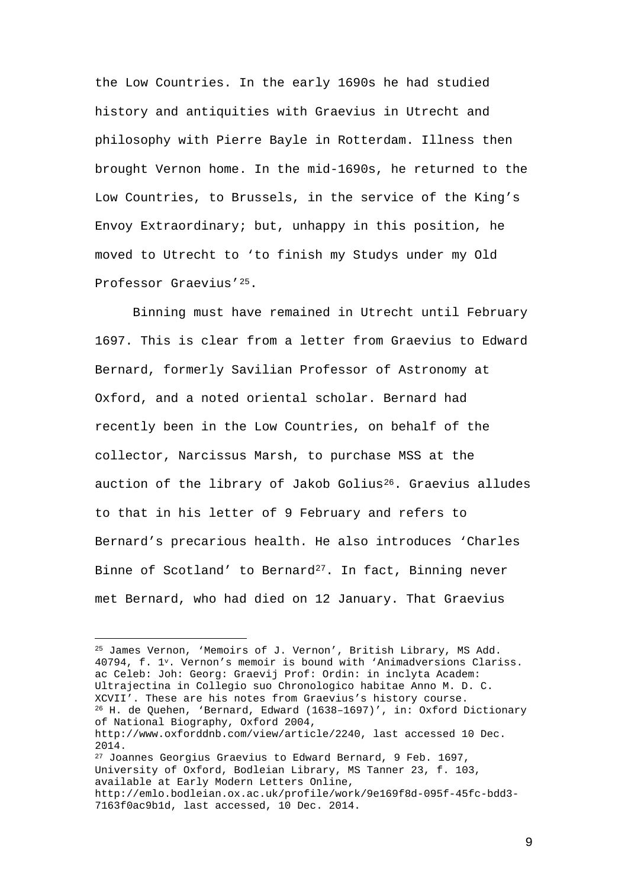the Low Countries. In the early 1690s he had studied history and antiquities with Graevius in Utrecht and philosophy with Pierre Bayle in Rotterdam. Illness then brought Vernon home. In the mid-1690s, he returned to the Low Countries, to Brussels, in the service of the King's Envoy Extraordinary; but, unhappy in this position, he moved to Utrecht to 'to finish my Studys under my Old Professor Graevius'[25.](#page-9-0)

Binning must have remained in Utrecht until February 1697. This is clear from a letter from Graevius to Edward Bernard, formerly Savilian Professor of Astronomy at Oxford, and a noted oriental scholar. Bernard had recently been in the Low Countries, on behalf of the collector, Narcissus Marsh, to purchase MSS at the auction of the library of Jakob Golius<sup>26</sup>. Graevius alludes to that in his letter of 9 February and refers to Bernard's precarious health. He also introduces 'Charles Binne of Scotland' to Bernard<sup>27</sup>. In fact, Binning never met Bernard, who had died on 12 January. That Graevius

<span id="page-9-2"></span><span id="page-9-1"></span><span id="page-9-0"></span><sup>25</sup> James Vernon, 'Memoirs of J. Vernon', British Library, MS Add. 40794, f. 1v. Vernon's memoir is bound with 'Animadversions Clariss. ac Celeb: Joh: Georg: Graevij Prof: Ordin: in inclyta Academ: Ultrajectina in Collegio suo Chronologico habitae Anno M. D. C. XCVII'. These are his notes from Graevius's history course. <sup>26</sup> H. de Quehen, 'Bernard, Edward (1638–1697)', in: Oxford Dictionary of National Biography, Oxford 2004, http://www.oxforddnb.com/view/article/2240, last accessed 10 Dec. 2014. <sup>27</sup> Joannes Georgius Graevius to Edward Bernard, 9 Feb. 1697, University of Oxford, Bodleian Library, MS Tanner 23, f. 103, available at Early Modern Letters Online, http://emlo.bodleian.ox.ac.uk/profile/work/9e169f8d-095f-45fc-bdd3- 7163f0ac9b1d, last accessed, 10 Dec. 2014.

—<br>—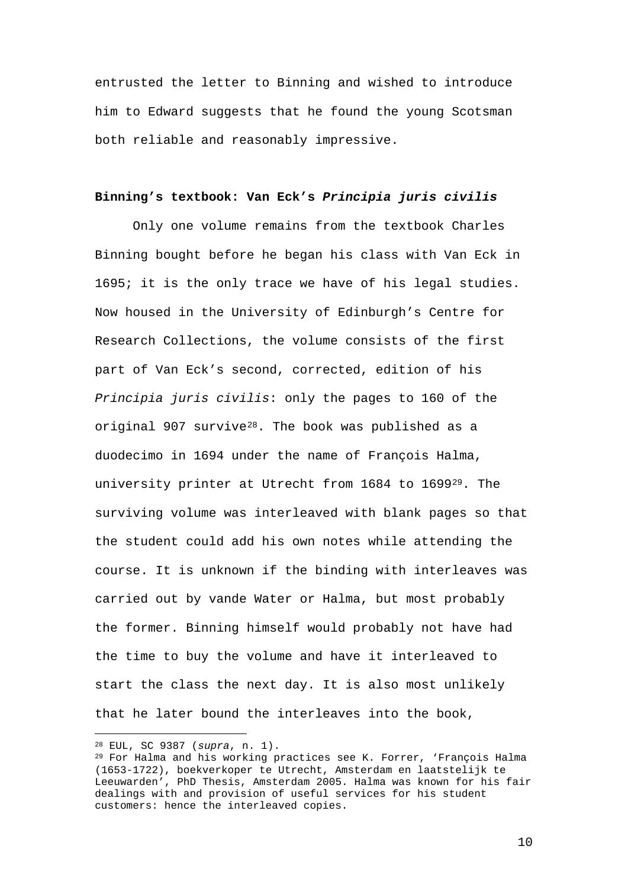entrusted the letter to Binning and wished to introduce him to Edward suggests that he found the young Scotsman both reliable and reasonably impressive.

# **Binning's textbook: Van Eck's** *Principia juris civilis*

Only one volume remains from the textbook Charles Binning bought before he began his class with Van Eck in 1695; it is the only trace we have of his legal studies. Now housed in the University of Edinburgh's Centre for Research Collections, the volume consists of the first part of Van Eck's second, corrected, edition of his *Principia juris civilis*: only the pages to 160 of the original 907 survive $28$ . The book was published as a duodecimo in 1694 under the name of François Halma, university printer at Utrecht from 1684 to 1699[29](#page-10-1). The surviving volume was interleaved with blank pages so that the student could add his own notes while attending the course. It is unknown if the binding with interleaves was carried out by vande Water or Halma, but most probably the former. Binning himself would probably not have had the time to buy the volume and have it interleaved to start the class the next day. It is also most unlikely that he later bound the interleaves into the book,

—

<sup>28</sup> EUL, SC 9387 (*supra*, n. 1).

<span id="page-10-1"></span><span id="page-10-0"></span><sup>29</sup> For Halma and his working practices see K. Forrer, 'François Halma (1653-1722), boekverkoper te Utrecht, Amsterdam en laatstelijk te Leeuwarden', PhD Thesis, Amsterdam 2005. Halma was known for his fair dealings with and provision of useful services for his student customers: hence the interleaved copies.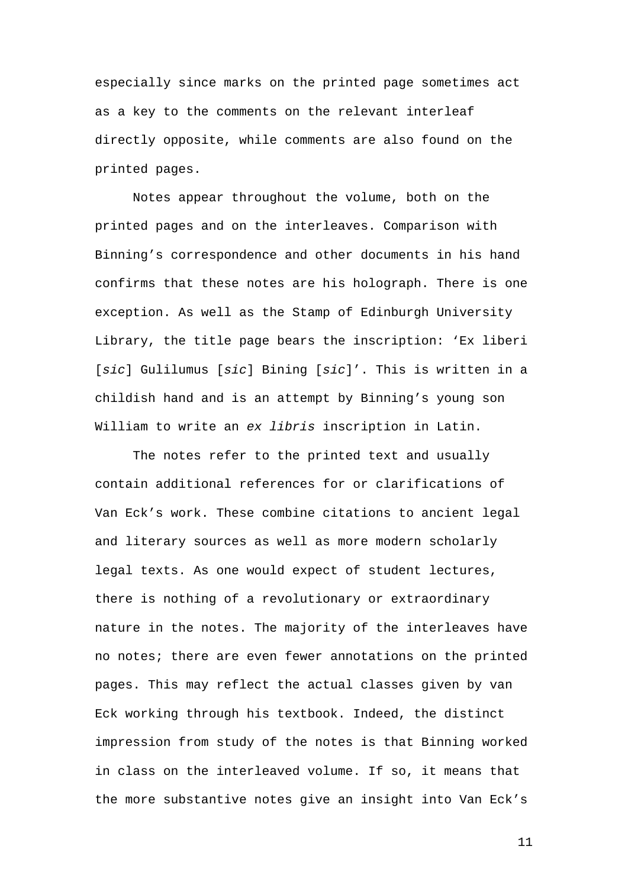especially since marks on the printed page sometimes act as a key to the comments on the relevant interleaf directly opposite, while comments are also found on the printed pages.

Notes appear throughout the volume, both on the printed pages and on the interleaves. Comparison with Binning's correspondence and other documents in his hand confirms that these notes are his holograph. There is one exception. As well as the Stamp of Edinburgh University Library, the title page bears the inscription: 'Ex liberi [*sic*] Gulilumus [*sic*] Bining [*sic*]'. This is written in a childish hand and is an attempt by Binning's young son William to write an *ex libris* inscription in Latin.

The notes refer to the printed text and usually contain additional references for or clarifications of Van Eck's work. These combine citations to ancient legal and literary sources as well as more modern scholarly legal texts. As one would expect of student lectures, there is nothing of a revolutionary or extraordinary nature in the notes. The majority of the interleaves have no notes; there are even fewer annotations on the printed pages. This may reflect the actual classes given by van Eck working through his textbook. Indeed, the distinct impression from study of the notes is that Binning worked in class on the interleaved volume. If so, it means that the more substantive notes give an insight into Van Eck's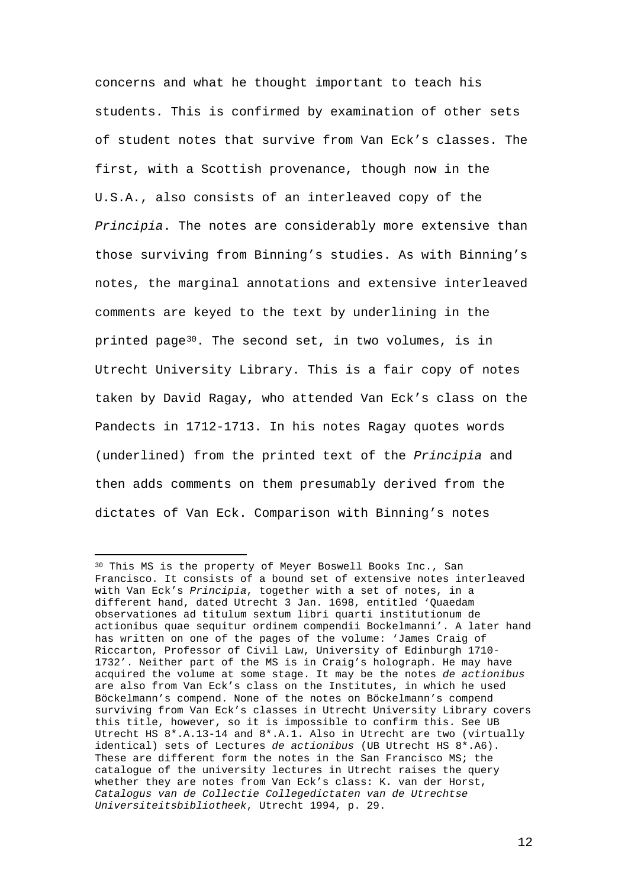concerns and what he thought important to teach his students. This is confirmed by examination of other sets of student notes that survive from Van Eck's classes. The first, with a Scottish provenance, though now in the U.S.A., also consists of an interleaved copy of the *Principia*. The notes are considerably more extensive than those surviving from Binning's studies. As with Binning's notes, the marginal annotations and extensive interleaved comments are keyed to the text by underlining in the printed page<sup>[30](#page-12-0)</sup>. The second set, in two volumes, is in Utrecht University Library. This is a fair copy of notes taken by David Ragay, who attended Van Eck's class on the Pandects in 1712-1713. In his notes Ragay quotes words (underlined) from the printed text of the *Principia* and then adds comments on them presumably derived from the dictates of Van Eck. Comparison with Binning's notes

<span id="page-12-0"></span><sup>—</sup> <sup>30</sup> This MS is the property of Meyer Boswell Books Inc., San Francisco. It consists of a bound set of extensive notes interleaved with Van Eck's *Principia*, together with a set of notes, in a different hand, dated Utrecht 3 Jan. 1698, entitled 'Quaedam observationes ad titulum sextum libri quarti institutionum de actionibus quae sequitur ordinem compendii Bockelmanni'. A later hand has written on one of the pages of the volume: 'James Craig of Riccarton, Professor of Civil Law, University of Edinburgh 1710- 1732'. Neither part of the MS is in Craig's holograph. He may have acquired the volume at some stage. It may be the notes *de actionibus* are also from Van Eck's class on the Institutes, in which he used Böckelmann's compend. None of the notes on Böckelmann's compend surviving from Van Eck's classes in Utrecht University Library covers this title, however, so it is impossible to confirm this. See UB Utrecht HS 8\*.A.13-14 and 8\*.A.1. Also in Utrecht are two (virtually identical) sets of Lectures *de actionibus* (UB Utrecht HS 8\*.A6). These are different form the notes in the San Francisco MS; the catalogue of the university lectures in Utrecht raises the query whether they are notes from Van Eck's class: K. van der Horst, *Catalogus van de Collectie Collegedictaten van de Utrechtse Universiteitsbibliotheek*, Utrecht 1994, p. 29.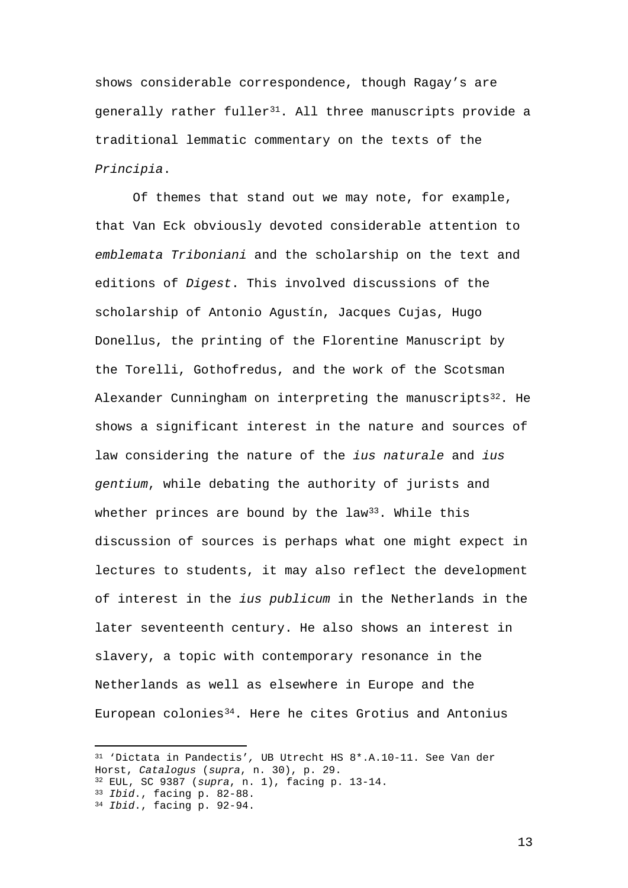shows considerable correspondence, though Ragay's are  $q$ enerally rather fuller<sup>31</sup>. All three manuscripts provide a traditional lemmatic commentary on the texts of the *Principia*.

Of themes that stand out we may note, for example, that Van Eck obviously devoted considerable attention to *emblemata Triboniani* and the scholarship on the text and editions of *Digest*. This involved discussions of the scholarship of Antonio Agustín, Jacques Cujas, Hugo Donellus, the printing of the Florentine Manuscript by the Torelli, Gothofredus, and the work of the Scotsman Alexander Cunningham on interpreting the manuscripts $32$ . He shows a significant interest in the nature and sources of law considering the nature of the *ius naturale* and *ius gentium*, while debating the authority of jurists and whether princes are bound by the law<sup>[33](#page-13-2)</sup>. While this discussion of sources is perhaps what one might expect in lectures to students, it may also reflect the development of interest in the *ius publicum* in the Netherlands in the later seventeenth century. He also shows an interest in slavery, a topic with contemporary resonance in the Netherlands as well as elsewhere in Europe and the European colonies[34](#page-13-3). Here he cites Grotius and Antonius

—

<span id="page-13-0"></span><sup>31</sup> 'Dictata in Pandectis'*,* UB Utrecht HS 8\*.A.10-11. See Van der Horst, *Catalogus* (*supra*, n. 30), p. 29.

<span id="page-13-1"></span><sup>32</sup> EUL, SC 9387 (*supra*, n. 1), facing p. 13-14.

<span id="page-13-2"></span><sup>33</sup> *Ibid*., facing p. 82-88.

<span id="page-13-3"></span><sup>34</sup> *Ibid*., facing p. 92-94.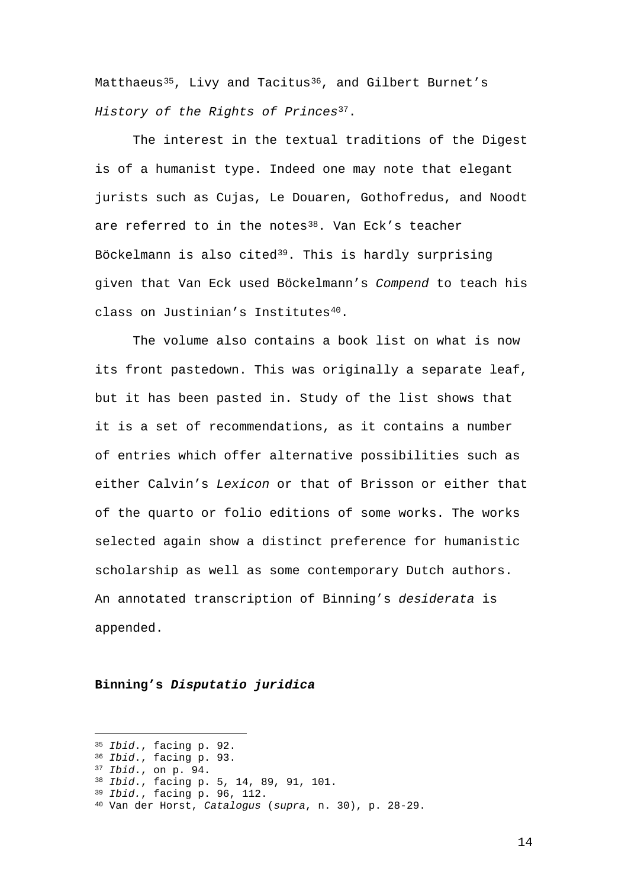Matthaeus<sup>35</sup>, Livy and Tacitus<sup>36</sup>, and Gilbert Burnet's *History of the Rights of Princes*[37](#page-14-2).

The interest in the textual traditions of the Digest is of a humanist type. Indeed one may note that elegant jurists such as Cujas, Le Douaren, Gothofredus, and Noodt are referred to in the notes<sup>38</sup>. Van Eck's teacher Böckelmann is also cited<sup>39</sup>. This is hardly surprising given that Van Eck used Böckelmann's *Compend* to teach his class on Justinian's Institutes<sup>[40](#page-14-5)</sup>.

The volume also contains a book list on what is now its front pastedown. This was originally a separate leaf, but it has been pasted in. Study of the list shows that it is a set of recommendations, as it contains a number of entries which offer alternative possibilities such as either Calvin's *Lexicon* or that of Brisson or either that of the quarto or folio editions of some works. The works selected again show a distinct preference for humanistic scholarship as well as some contemporary Dutch authors. An annotated transcription of Binning's *desiderata* is appended.

# **Binning's** *Disputatio juridica*

—

<sup>35</sup> *Ibid*., facing p. 92.

<span id="page-14-1"></span><span id="page-14-0"></span><sup>36</sup> *Ibid*., facing p. 93.

<span id="page-14-2"></span><sup>37</sup> *Ibid*., on p. 94.

<span id="page-14-3"></span><sup>38</sup> *Ibid*., facing p. 5, 14, 89, 91, 101.

<span id="page-14-4"></span><sup>39</sup> *Ibid.*, facing p. 96, 112.

<span id="page-14-5"></span><sup>40</sup> Van der Horst, *Catalogus* (*supra*, n. 30), p. 28-29.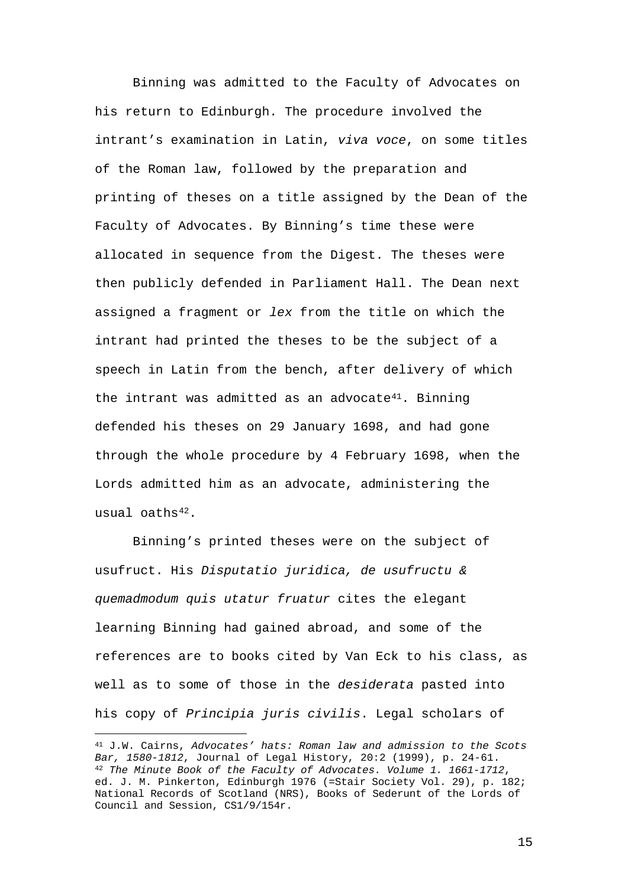Binning was admitted to the Faculty of Advocates on his return to Edinburgh. The procedure involved the intrant's examination in Latin, *viva voce*, on some titles of the Roman law, followed by the preparation and printing of theses on a title assigned by the Dean of the Faculty of Advocates. By Binning's time these were allocated in sequence from the Digest. The theses were then publicly defended in Parliament Hall. The Dean next assigned a fragment or *lex* from the title on which the intrant had printed the theses to be the subject of a speech in Latin from the bench, after delivery of which the intrant was admitted as an advocate<sup>41</sup>. Binning defended his theses on 29 January 1698, and had gone through the whole procedure by 4 February 1698, when the Lords admitted him as an advocate, administering the usual oaths<sup>[42](#page-15-1)</sup>.

Binning's printed theses were on the subject of usufruct. His *Disputatio juridica, de usufructu & quemadmodum quis utatur fruatur* cites the elegant learning Binning had gained abroad, and some of the references are to books cited by Van Eck to his class, as well as to some of those in the *desiderata* pasted into his copy of *Principia juris civilis*. Legal scholars of

—

<span id="page-15-1"></span><span id="page-15-0"></span><sup>41</sup> J.W. Cairns, *Advocates' hats: Roman law and admission to the Scots Bar, 1580-1812*, Journal of Legal History, 20:2 (1999), p. 24-61. <sup>42</sup> *The Minute Book of the Faculty of Advocates. Volume 1. 1661-1712*, ed. J. M. Pinkerton, Edinburgh 1976 (=Stair Society Vol. 29), p. 182; National Records of Scotland (NRS), Books of Sederunt of the Lords of Council and Session, CS1/9/154r.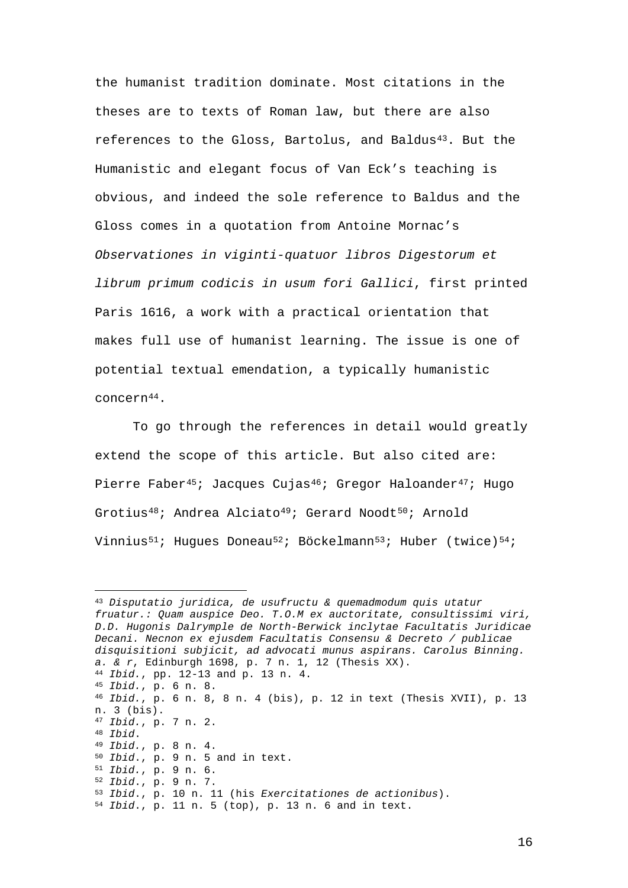the humanist tradition dominate. Most citations in the theses are to texts of Roman law, but there are also references to the Gloss, Bartolus, and Baldu[s43](#page-16-0). But the Humanistic and elegant focus of Van Eck's teaching is obvious, and indeed the sole reference to Baldus and the Gloss comes in a quotation from Antoine Mornac's *Observationes in viginti-quatuor libros Digestorum et librum primum codicis in usum fori Gallici*, first printed Paris 1616, a work with a practical orientation that makes full use of humanist learning. The issue is one of potential textual emendation, a typically humanistic concern[44](#page-16-1).

To go through the references in detail would greatly extend the scope of this article. But also cited are: Pierre Faber<sup>[45](#page-16-2)</sup>; Jacques Cujas<sup>46</sup>; Gregor Haloander<sup>[47](#page-16-4)</sup>; Hugo Grotius<sup>[48](#page-16-5);</sup> Andrea Alciato<sup>[49;](#page-16-6)</sup> Gerard Noodt<sup>50</sup>; Arnold Vinnius<sup>[51](#page-16-8);</sup> Hugues Doneau<sup>52</sup>; Böckelmann<sup>[53](#page-16-10)</sup>; Huber (twice)<sup>[54](#page-16-11)</sup>;

<span id="page-16-11"></span><span id="page-16-10"></span><span id="page-16-9"></span><span id="page-16-8"></span><span id="page-16-7"></span><span id="page-16-6"></span><span id="page-16-5"></span><span id="page-16-4"></span><span id="page-16-3"></span><span id="page-16-2"></span><span id="page-16-1"></span><span id="page-16-0"></span><sup>—&</sup>lt;br>— <sup>43</sup> *Disputatio juridica, de usufructu & quemadmodum quis utatur fruatur.: Quam auspice Deo. T.O.M ex auctoritate, consultissimi viri, D.D. Hugonis Dalrymple de North-Berwick inclytae Facultatis Juridicae Decani. Necnon ex ejusdem Facultatis Consensu & Decreto / publicae disquisitioni subjicit, ad advocati munus aspirans. Carolus Binning. a. & r*, Edinburgh 1698, p. 7 n. 1, 12 (Thesis XX). 44 *Ibid.*, pp. 12-13 and p. 13 n. 4. <sup>45</sup> *Ibid.*, p. 6 n. 8. <sup>46</sup> *Ibid.*, p. 6 n. 8, 8 n. 4 (bis), p. 12 in text (Thesis XVII), p. 13 n. 3 (bis). <sup>47</sup> *Ibid.*, p. 7 n. 2. <sup>48</sup> *Ibid*. 49 *Ibid.*, p. 8 n. 4. <sup>50</sup> *Ibid*., p. 9 n. 5 and in text. <sup>51</sup> *Ibid.*, p. 9 n. 6. <sup>52</sup> *Ibid*., p. 9 n. 7. <sup>53</sup> *Ibid*., p. 10 n. 11 (his *Exercitationes de actionibus*). <sup>54</sup> *Ibid*., p. 11 n. 5 (top), p. 13 n. 6 and in text.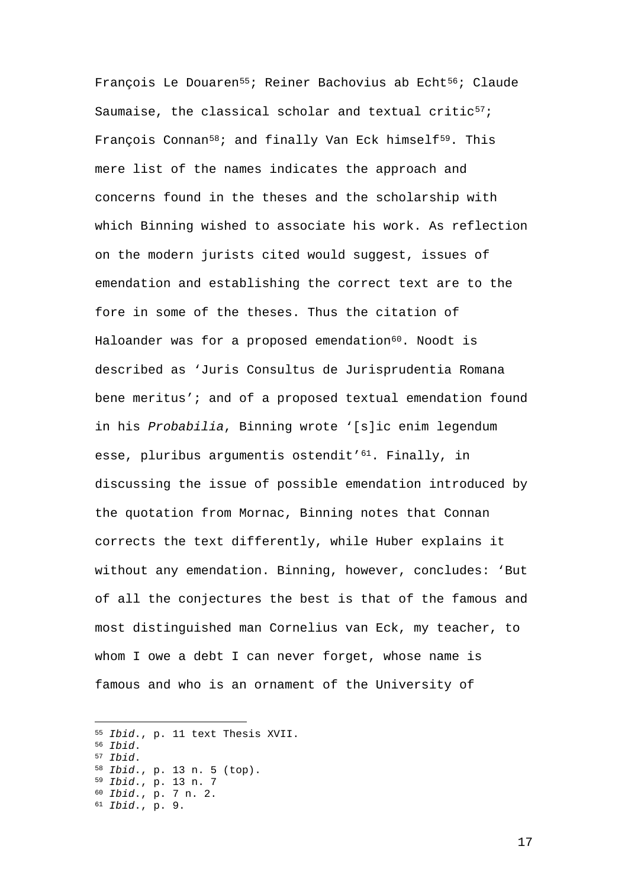François Le Douaren<sup>[55;](#page-17-0)</sup> Reiner Bachovius ab Echt<sup>[56](#page-17-1)</sup>; Claude Saumaise, the classical scholar and textual critic $57$ ; François Connan<sup>[58](#page-17-3);</sup> and finally Van Eck himself<sup>59</sup>. This mere list of the names indicates the approach and concerns found in the theses and the scholarship with which Binning wished to associate his work. As reflection on the modern jurists cited would suggest, issues of emendation and establishing the correct text are to the fore in some of the theses. Thus the citation of Haloander was for a proposed emendation<sup>60</sup>. Noodt is described as 'Juris Consultus de Jurisprudentia Romana bene meritus'; and of a proposed textual emendation found in his *Probabilia*, Binning wrote '[s]ic enim legendum esse, pluribus argumentis ostendit'<sup>61</sup>. Finally, in discussing the issue of possible emendation introduced by the quotation from Mornac, Binning notes that Connan corrects the text differently, while Huber explains it without any emendation. Binning, however, concludes: 'But of all the conjectures the best is that of the famous and most distinguished man Cornelius van Eck, my teacher, to whom I owe a debt I can never forget, whose name is famous and who is an ornament of the University of

<span id="page-17-6"></span><span id="page-17-5"></span><span id="page-17-4"></span><span id="page-17-3"></span><span id="page-17-2"></span><span id="page-17-1"></span><span id="page-17-0"></span> *Ibid*., p. 11 text Thesis XVII. <sup>56</sup> *Ibid*. <sup>57</sup> *Ibid*. *Ibid*., p. 13 n. 5 (top). *Ibid*., p. 13 n. 7 *Ibid*., p. 7 n. 2. *Ibid*., p. 9.

—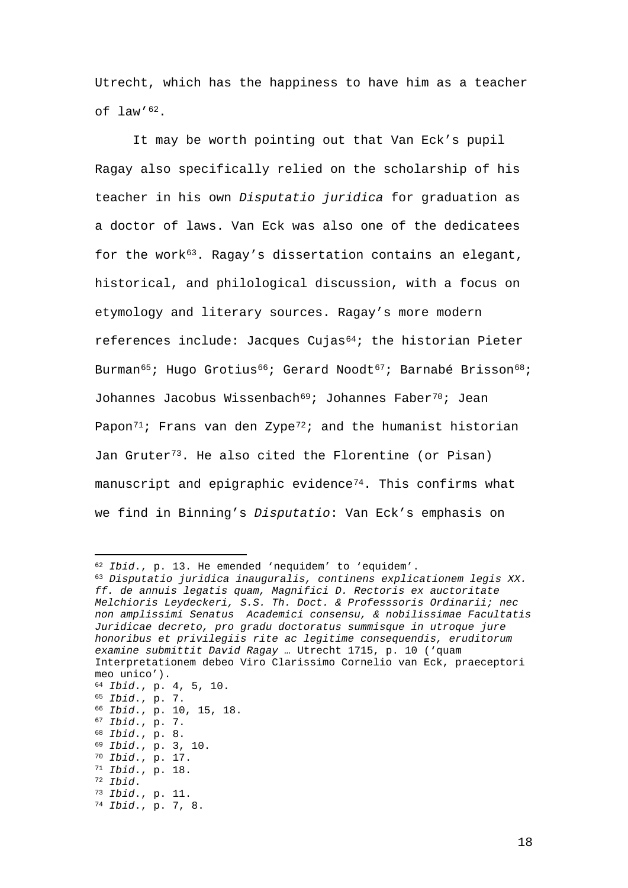Utrecht, which has the happiness to have him as a teacher of law'[62](#page-18-0).

It may be worth pointing out that Van Eck's pupil Ragay also specifically relied on the scholarship of his teacher in his own *Disputatio juridica* for graduation as a doctor of laws. Van Eck was also one of the dedicatees for the work<sup>[63](#page-18-1)</sup>. Ragay's dissertation contains an elegant, historical, and philological discussion, with a focus on etymology and literary sources. Ragay's more modern references include: Jacques Cujas<sup>64</sup>; the historian Pieter Burman<sup>[65](#page-18-3)</sup>; Hugo Grotius<sup>[66](#page-18-4)</sup>; Gerard Noodt<sup>[67](#page-18-5)</sup>; Barnabé Brisson<sup>68</sup>; Johannes Jacobus Wissenbach<sup>[69](#page-18-7);</sup> Johannes Faber<sup>70</sup>; Jean Papon<sup>[71](#page-18-9)</sup>; Frans van den Zype<sup>[72](#page-18-10)</sup>; and the humanist historian Jan Gruter<sup>[73](#page-18-11)</sup>. He also cited the Florentine (or Pisan) manuscript and epigraphic evidence<sup>74</sup>. This confirms what we find in Binning's *Disputatio*: Van Eck's emphasis on

- <span id="page-18-5"></span><sup>67</sup> *Ibid*., p. 7.
- <span id="page-18-6"></span><sup>68</sup> *Ibid*., p. 8. <sup>69</sup> *Ibid*., p. 3, 10.
- <span id="page-18-8"></span><span id="page-18-7"></span><sup>70</sup> *Ibid*., p. 17.
- <span id="page-18-9"></span><sup>71</sup> *Ibid*., p. 18.

<sup>—</sup> <sup>62</sup> *Ibid*., p. 13. He emended 'nequidem' to 'equidem'.

<span id="page-18-1"></span><span id="page-18-0"></span><sup>63</sup> *Disputatio juridica inauguralis, continens explicationem legis XX. ff. de annuis legatis quam, Magnifici D. Rectoris ex auctoritate Melchioris Leydeckeri, S.S. Th. Doct. & Professsoris Ordinarii; nec non amplissimi Senatus Academici consensu, & nobilissimae Facultatis Juridicae decreto, pro gradu doctoratus summisque in utroque jure honoribus et privilegiis rite ac legitime consequendis, eruditorum examine submittit David Ragay …* Utrecht 1715, p. 10 ('quam Interpretationem debeo Viro Clarissimo Cornelio van Eck, praeceptori meo unico').

<span id="page-18-2"></span><sup>64</sup> *Ibid*., p. 4, 5, 10.

<span id="page-18-3"></span><sup>65</sup> *Ibid*., p. 7.

<span id="page-18-4"></span><sup>66</sup> *Ibid*., p. 10, 15, 18.

<span id="page-18-10"></span><sup>72</sup> *Ibid*.

<span id="page-18-11"></span><sup>73</sup> *Ibid*., p. 11.

<span id="page-18-12"></span><sup>74</sup> *Ibid*., p. 7, 8.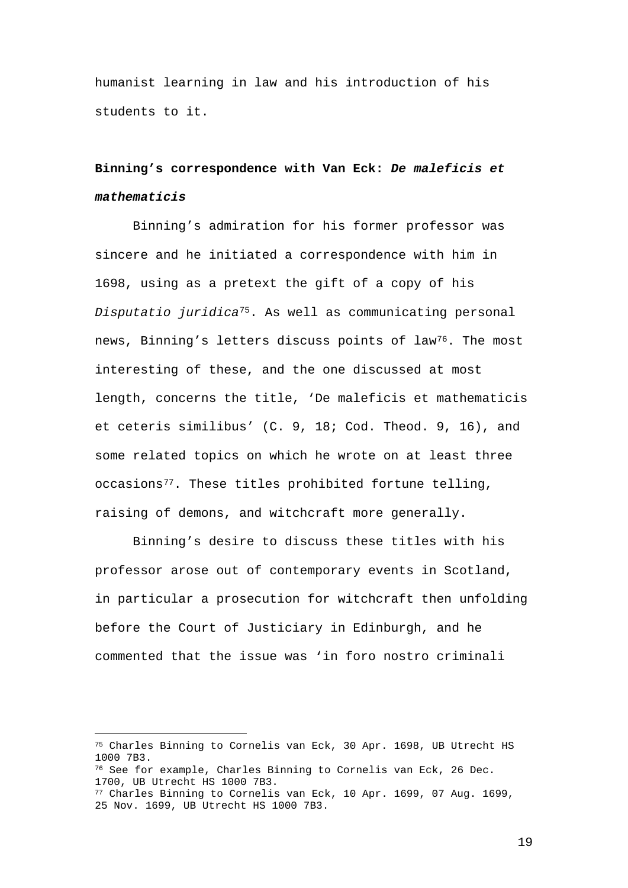humanist learning in law and his introduction of his students to it.

# **Binning's correspondence with Van Eck:** *De maleficis et mathematicis*

Binning's admiration for his former professor was sincere and he initiated a correspondence with him in 1698, using as a pretext the gift of a copy of his *Disputatio juridica*[75.](#page-19-0) As well as communicating personal news, Binning's letters discuss points of law<sup>76</sup>. The most interesting of these, and the one discussed at most length, concerns the title, 'De maleficis et mathematicis et ceteris similibus' (C. 9, 18; Cod. Theod. 9, 16), and some related topics on which he wrote on at least three occasions<sup>77</sup>. These titles prohibited fortune telling, raising of demons, and witchcraft more generally.

Binning's desire to discuss these titles with his professor arose out of contemporary events in Scotland, in particular a prosecution for witchcraft then unfolding before the Court of Justiciary in Edinburgh, and he commented that the issue was 'in foro nostro criminali

<span id="page-19-0"></span><sup>—</sup> <sup>75</sup> Charles Binning to Cornelis van Eck, 30 Apr. 1698, UB Utrecht HS 1000 7B3.

<span id="page-19-1"></span><sup>76</sup> See for example, Charles Binning to Cornelis van Eck, 26 Dec. 1700, UB Utrecht HS 1000 7B3.

<span id="page-19-2"></span><sup>77</sup> Charles Binning to Cornelis van Eck, 10 Apr. 1699, 07 Aug. 1699, 25 Nov. 1699, UB Utrecht HS 1000 7B3.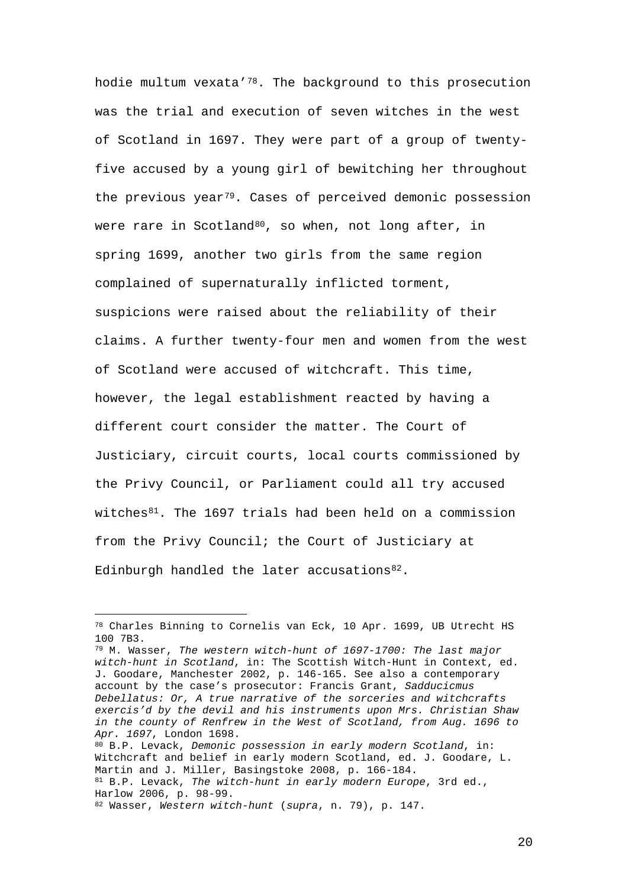hodie multum vexata['78](#page-20-0). The background to this prosecution was the trial and execution of seven witches in the west of Scotland in 1697. They were part of a group of twentyfive accused by a young girl of bewitching her throughout the previous year<sup>[79](#page-20-1)</sup>. Cases of perceived demonic possession were rare in Scotland<sup>[80](#page-20-2)</sup>, so when, not long after, in spring 1699, another two girls from the same region complained of supernaturally inflicted torment, suspicions were raised about the reliability of their claims. A further twenty-four men and women from the west of Scotland were accused of witchcraft. This time, however, the legal establishment reacted by having a different court consider the matter. The Court of Justiciary, circuit courts, local courts commissioned by the Privy Council, or Parliament could all try accused witches $81$ . The 1697 trials had been held on a commission from the Privy Council; the Court of Justiciary at Edinburgh handled the later accusations<sup>82</sup>.

<span id="page-20-1"></span><sup>79</sup> M. Wasser, *The western witch-hunt of 1697-1700: The last major witch-hunt in Scotland*, in: The Scottish Witch-Hunt in Context, ed. J. Goodare, Manchester 2002, p. 146-165. See also a contemporary account by the case's prosecutor: Francis Grant, *Sadducicmus Debellatus: Or, A true narrative of the sorceries and witchcrafts exercis'd by the devil and his instruments upon Mrs. Christian Shaw in the county of Renfrew in the West of Scotland, from Aug. 1696 to Apr. 1697*, London 1698. <sup>80</sup> B.P. Levack, *Demonic possession in early modern Scotland*, in: Witchcraft and belief in early modern Scotland, ed. J. Goodare, L.

<span id="page-20-3"></span><span id="page-20-2"></span>Martin and J. Miller, Basingstoke 2008, p. 166-184. <sup>81</sup> B.P. Levack, *The witch-hunt in early modern Europe*, 3rd ed., Harlow 2006, p. 98-99.

<span id="page-20-0"></span><sup>—</sup>  $^{78}$  Charles Binning to Cornelis van Eck, 10 Apr. 1699, UB Utrecht HS 100 7B3.

<span id="page-20-4"></span><sup>82</sup> Wasser, *Western witch-hunt* (*supra*, n. 79), p. 147.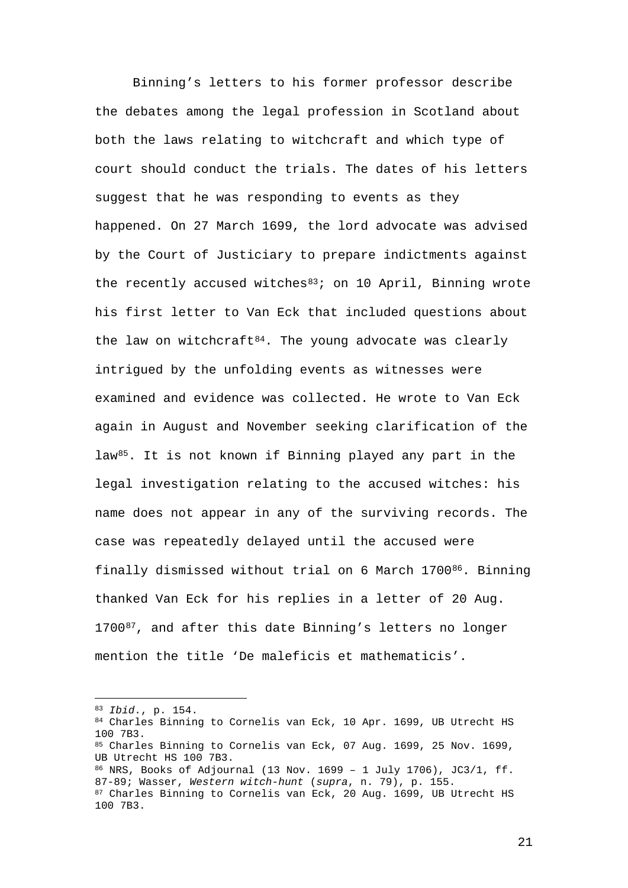Binning's letters to his former professor describe the debates among the legal profession in Scotland about both the laws relating to witchcraft and which type of court should conduct the trials. The dates of his letters suggest that he was responding to events as they happened. On 27 March 1699, the lord advocate was advised by the Court of Justiciary to prepare indictments against the recently accused witches $83$ ; on 10 April, Binning wrote his first letter to Van Eck that included questions about the law on witchcraft $84$ . The young advocate was clearly intrigued by the unfolding events as witnesses were examined and evidence was collected. He wrote to Van Eck again in August and November seeking clarification of the law[85.](#page-21-2) It is not known if Binning played any part in the legal investigation relating to the accused witches: his name does not appear in any of the surviving records. The case was repeatedly delayed until the accused were finally dismissed without trial on 6 March 1700<sup>[86](#page-21-3)</sup>. Binning thanked Van Eck for his replies in a letter of 20 Aug. 1700<sup>87</sup>, and after this date Binning's letters no longer mention the title 'De maleficis et mathematicis'.

<span id="page-21-4"></span><span id="page-21-3"></span><span id="page-21-2"></span><span id="page-21-1"></span><span id="page-21-0"></span><sup>84</sup> Charles Binning to Cornelis van Eck, 10 Apr. 1699, UB Utrecht HS 100 7B3. 85 Charles Binning to Cornelis van Eck, 07 Aug. 1699, 25 Nov. 1699, UB Utrecht HS 100 7B3. <sup>86</sup> NRS, Books of Adjournal (13 Nov. 1699 – 1 July 1706), JC3/1, ff. 87-89; Wasser, *Western witch-hunt* (*supra*, n. 79), p. 155. 87 Charles Binning to Cornelis van Eck, 20 Aug. 1699, UB Utrecht HS 100 7B3.

<sup>—</sup> <sup>83</sup> *Ibid*., p. 154.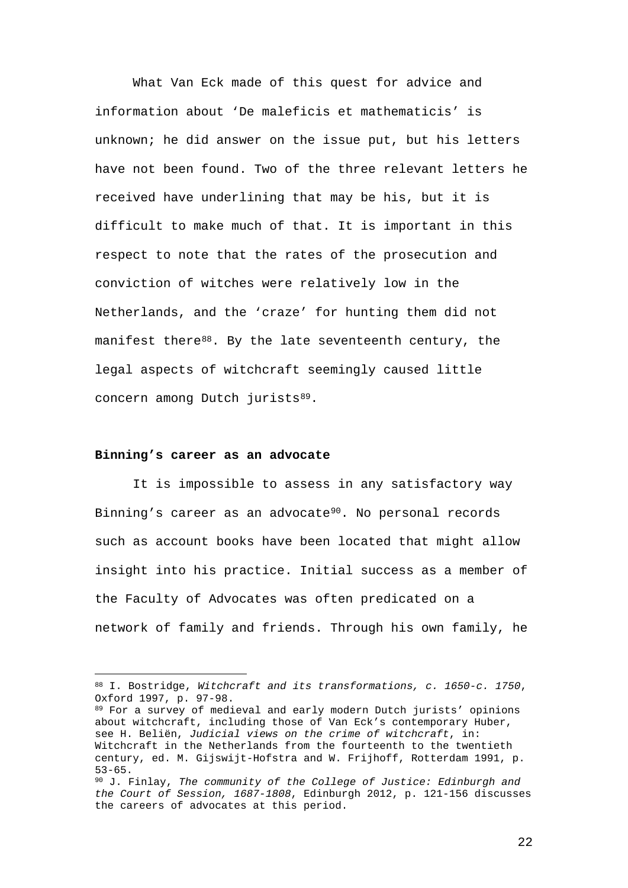What Van Eck made of this quest for advice and information about 'De maleficis et mathematicis' is unknown; he did answer on the issue put, but his letters have not been found. Two of the three relevant letters he received have underlining that may be his, but it is difficult to make much of that. It is important in this respect to note that the rates of the prosecution and conviction of witches were relatively low in the Netherlands, and the 'craze' for hunting them did not manifest there<sup>88</sup>. By the late seventeenth century, the legal aspects of witchcraft seemingly caused little concern among Dutch jurists<sup>[89](#page-22-1)</sup>.

#### **Binning's career as an advocate**

—

It is impossible to assess in any satisfactory way Binning's career as an advocate<sup>[90](#page-22-2)</sup>. No personal records such as account books have been located that might allow insight into his practice. Initial success as a member of the Faculty of Advocates was often predicated on a network of family and friends. Through his own family, he

<span id="page-22-0"></span><sup>88</sup> I. Bostridge, *Witchcraft and its transformations, c. 1650-c. 1750*, Oxford 1997, p. 97-98.

<span id="page-22-1"></span><sup>89</sup> For a survey of medieval and early modern Dutch jurists' opinions about witchcraft, including those of Van Eck's contemporary Huber, see H. Beliën, *Judicial views on the crime of witchcraft*, in: Witchcraft in the Netherlands from the fourteenth to the twentieth century, ed. M. Gijswijt-Hofstra and W. Frijhoff, Rotterdam 1991, p. 53-65.

<span id="page-22-2"></span><sup>90</sup> J. Finlay, *The community of the College of Justice: Edinburgh and the Court of Session, 1687-1808*, Edinburgh 2012, p. 121-156 discusses the careers of advocates at this period.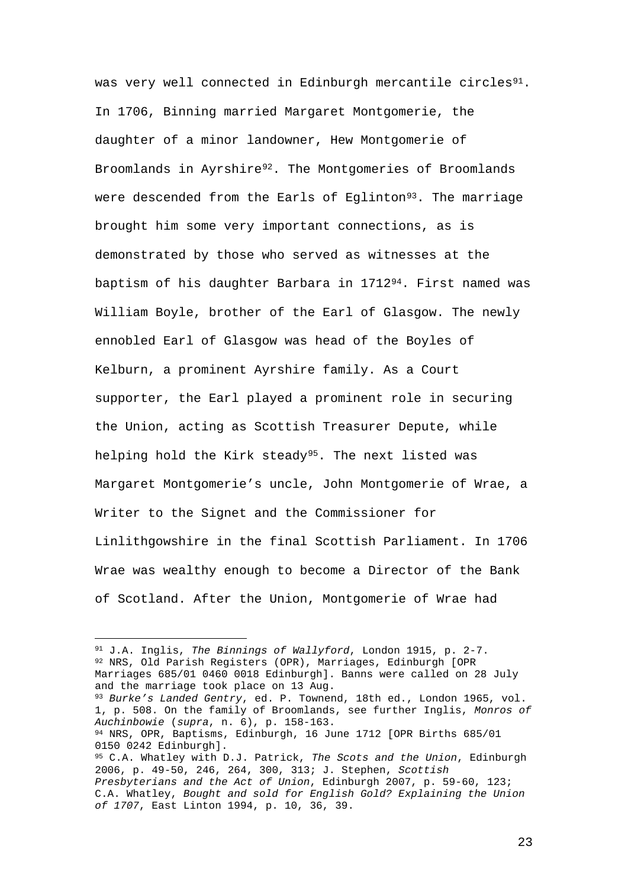was very well connected in Edinburgh mercantile circles<sup>91</sup>. In 1706, Binning married Margaret Montgomerie, the daughter of a minor landowner, Hew Montgomerie of Broomlands in Ayrshire<sup>[92](#page-23-1)</sup>. The Montgomeries of Broomlands were descended from the Earls of Eglinton<sup>[93](#page-23-2)</sup>. The marriage brought him some very important connections, as is demonstrated by those who served as witnesses at the baptism of his daughter Barbara in 1712[94.](#page-23-3) First named was William Boyle, brother of the Earl of Glasgow. The newly ennobled Earl of Glasgow was head of the Boyles of Kelburn, a prominent Ayrshire family. As a Court supporter, the Earl played a prominent role in securing the Union, acting as Scottish Treasurer Depute, while helping hold the Kirk steady<sup>95</sup>. The next listed was Margaret Montgomerie's uncle, John Montgomerie of Wrae, a Writer to the Signet and the Commissioner for Linlithgowshire in the final Scottish Parliament. In 1706 Wrae was wealthy enough to become a Director of the Bank of Scotland. After the Union, Montgomerie of Wrae had

<span id="page-23-4"></span><span id="page-23-3"></span><span id="page-23-2"></span><span id="page-23-1"></span><span id="page-23-0"></span>—<br>— <sup>91</sup> J.A. Inglis, *The Binnings of Wallyford*, London 1915, p. 2-7. <sup>92</sup> NRS, Old Parish Registers (OPR), Marriages, Edinburgh [OPR Marriages 685/01 0460 0018 Edinburgh]. Banns were called on 28 July and the marriage took place on 13 Aug. <sup>93</sup> *Burke's Landed Gentry*, ed. P. Townend, 18th ed., London 1965, vol. 1, p. 508. On the family of Broomlands, see further Inglis, *Monros of Auchinbowie* (*supra*, n. 6), p. 158-163. <sup>94</sup> NRS, OPR, Baptisms, Edinburgh, 16 June 1712 [OPR Births  $685/01$ <br>0150 0242 Edinburgh]. <sup>95</sup> C.A. Whatley with D.J. Patrick, The Scots and the Union, Edinburgh 2006, p. 49-50, 246, 264, 300, 313; J. Stephen, *Scottish Presbyterians and the Act of Union*, Edinburgh 2007, p. 59-60, 123; C.A. Whatley, *Bought and sold for English Gold? Explaining the Union of 1707*, East Linton 1994, p. 10, 36, 39.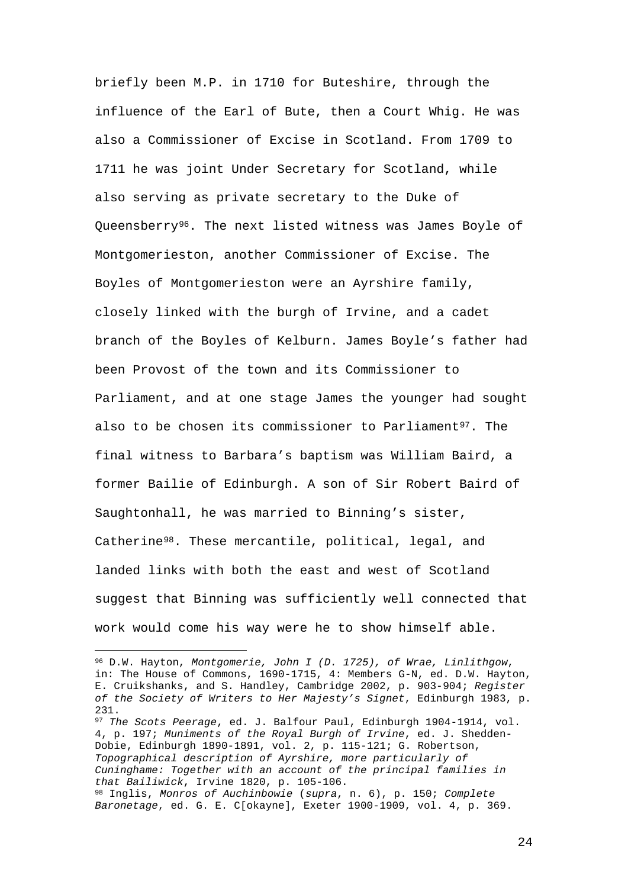briefly been M.P. in 1710 for Buteshire, through the influence of the Earl of Bute, then a Court Whig. He was also a Commissioner of Excise in Scotland. From 1709 to 1711 he was joint Under Secretary for Scotland, while also serving as private secretary to the Duke of Queensberry[96](#page-24-0). The next listed witness was James Boyle of Montgomerieston, another Commissioner of Excise. The Boyles of Montgomerieston were an Ayrshire family, closely linked with the burgh of Irvine, and a cadet branch of the Boyles of Kelburn. James Boyle's father had been Provost of the town and its Commissioner to Parliament, and at one stage James the younger had sought also to be chosen its commissioner to Parliament<sup>97</sup>. The final witness to Barbara's baptism was William Baird, a former Bailie of Edinburgh. A son of Sir Robert Baird of Saughtonhall, he was married to Binning's sister, Catherine[98.](#page-24-2) These mercantile, political, legal, and landed links with both the east and west of Scotland suggest that Binning was sufficiently well connected that work would come his way were he to show himself able.

—

<span id="page-24-2"></span><span id="page-24-1"></span><sup>97</sup> *The Scots Peerage*, ed. J. Balfour Paul, Edinburgh 1904-1914, vol. 4, p. 197; *Muniments of the Royal Burgh of Irvine*, ed. J. Shedden-Dobie, Edinburgh 1890-1891, vol. 2, p. 115-121; G. Robertson, *Topographical description of Ayrshire, more particularly of Cuninghame: Together with an account of the principal families in that Bailiwick*, Irvine 1820, p. 105-106. <sup>98</sup> Inglis, *Monros of Auchinbowie* (*supra*, n. 6), p. 150; *Complete Baronetage*, ed. G. E. C[okayne], Exeter 1900-1909, vol. 4, p. 369.

<span id="page-24-0"></span><sup>96</sup> D.W. Hayton, *Montgomerie, John I (D. 1725), of Wrae, Linlithgow*, in: The House of Commons, 1690-1715, 4: Members G-N, ed. D.W. Hayton, E. Cruikshanks, and S. Handley, Cambridge 2002, p. 903-904; *Register of the Society of Writers to Her Majesty's Signet*, Edinburgh 1983, p. 231.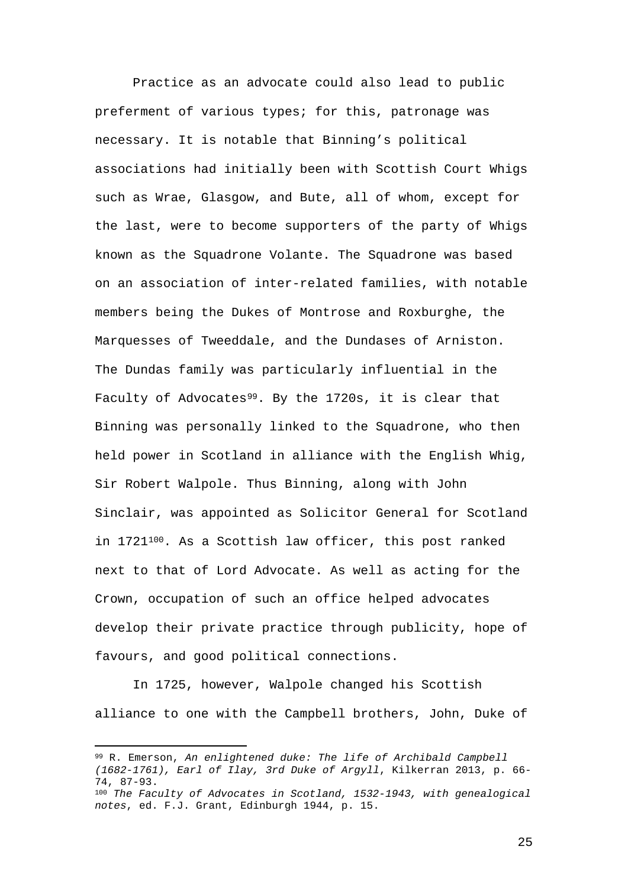Practice as an advocate could also lead to public preferment of various types; for this, patronage was necessary. It is notable that Binning's political associations had initially been with Scottish Court Whigs such as Wrae, Glasgow, and Bute, all of whom, except for the last, were to become supporters of the party of Whigs known as the Squadrone Volante. The Squadrone was based on an association of inter-related families, with notable members being the Dukes of Montrose and Roxburghe, the Marquesses of Tweeddale, and the Dundases of Arniston. The Dundas family was particularly influential in the Faculty of Advocates<sup>99</sup>. By the 1720s, it is clear that Binning was personally linked to the Squadrone, who then held power in Scotland in alliance with the English Whig, Sir Robert Walpole. Thus Binning, along with John Sinclair, was appointed as Solicitor General for Scotland in 1721[100](#page-25-1). As a Scottish law officer, this post ranked next to that of Lord Advocate. As well as acting for the Crown, occupation of such an office helped advocates develop their private practice through publicity, hope of favours, and good political connections.

In 1725, however, Walpole changed his Scottish alliance to one with the Campbell brothers, John, Duke of

—

<span id="page-25-1"></span><span id="page-25-0"></span><sup>99</sup> R. Emerson, *An enlightened duke: The life of Archibald Campbell (1682-1761), Earl of Ilay, 3rd Duke of Argyll*, Kilkerran 2013, p. 66- 74, 87-93. <sup>100</sup> *The Faculty of Advocates in Scotland, 1532-1943, with genealogical notes*, ed. F.J. Grant, Edinburgh 1944, p. 15.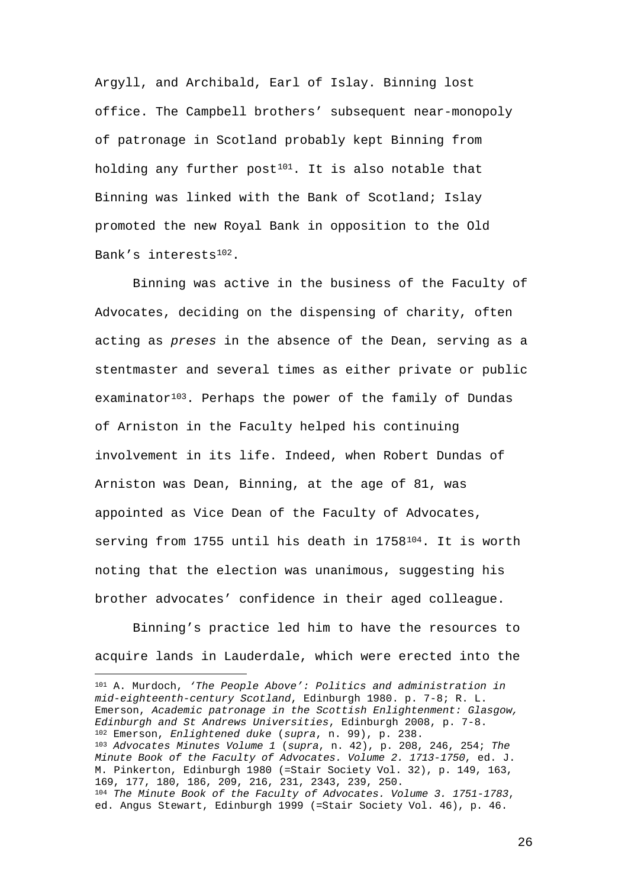Argyll, and Archibald, Earl of Islay. Binning lost office. The Campbell brothers' subsequent near-monopoly of patronage in Scotland probably kept Binning from holding any further post<sup>101</sup>. It is also notable that Binning was linked with the Bank of Scotland; Islay promoted the new Royal Bank in opposition to the Old Bank's interests[102](#page-26-1).

Binning was active in the business of the Faculty of Advocates, deciding on the dispensing of charity, often acting as *preses* in the absence of the Dean, serving as a stentmaster and several times as either private or public examinator<sup>103</sup>. Perhaps the power of the family of Dundas of Arniston in the Faculty helped his continuing involvement in its life. Indeed, when Robert Dundas of Arniston was Dean, Binning, at the age of 81, was appointed as Vice Dean of the Faculty of Advocates, serving from 1755 until his death in  $1758^{104}$  $1758^{104}$  $1758^{104}$ . It is worth noting that the election was unanimous, suggesting his brother advocates' confidence in their aged colleague.

Binning's practice led him to have the resources to acquire lands in Lauderdale, which were erected into the

<span id="page-26-3"></span><span id="page-26-2"></span><span id="page-26-1"></span><span id="page-26-0"></span>— <sup>101</sup> A. Murdoch, *'The People Above': Politics and administration in mid-eighteenth-century Scotland*, Edinburgh 1980. p. 7-8; R. L. Emerson, *Academic patronage in the Scottish Enlightenment: Glasgow, Edinburgh and St Andrews Universities*, Edinburgh 2008, p. 7-8. <sup>102</sup> Emerson, *Enlightened duke* (*supra*, n. 99), p. 238. <sup>103</sup> *Advocates Minutes Volume 1* (*supra*, n. 42), p. 208, 246, 254; *The Minute Book of the Faculty of Advocates. Volume 2. 1713-1750*, ed. J. M. Pinkerton, Edinburgh 1980 (=Stair Society Vol. 32), p. 149, 163, 169, 177, 180, 186, 209, 216, 231, 2343, 239, 250. <sup>104</sup> *The Minute Book of the Faculty of Advocates. Volume 3. 1751-1783*, ed. Angus Stewart, Edinburgh 1999 (=Stair Society Vol. 46), p. 46.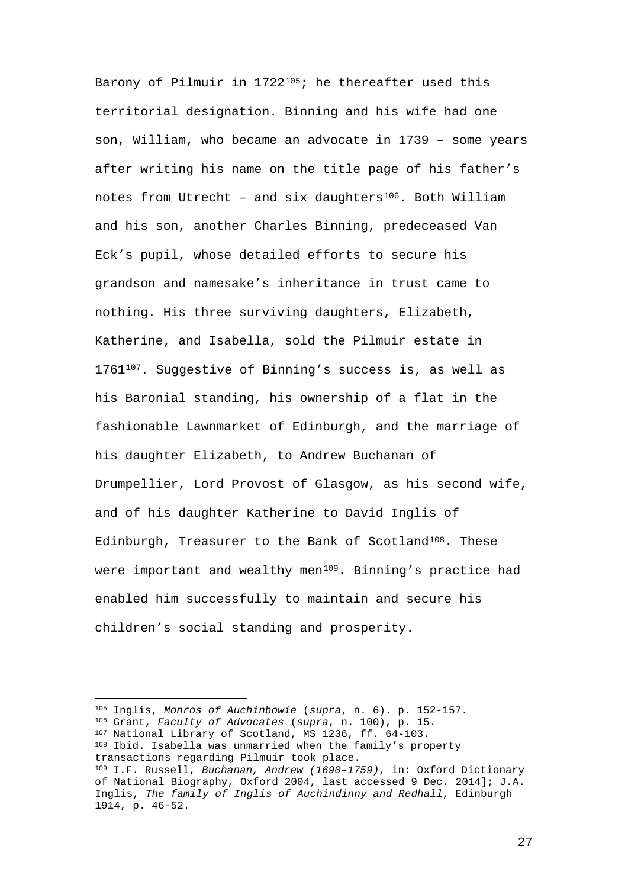Barony of Pilmuir in 172[2105;](#page-27-0) he thereafter used this territorial designation. Binning and his wife had one son, William, who became an advocate in 1739 – some years after writing his name on the title page of his father's notes from Utrecht - and six daughters<sup>[106](#page-27-1)</sup>. Both William and his son, another Charles Binning, predeceased Van Eck's pupil, whose detailed efforts to secure his grandson and namesake's inheritance in trust came to nothing. His three surviving daughters, Elizabeth, Katherine, and Isabella, sold the Pilmuir estate in 1761<sup>107</sup>. Suggestive of Binning's success is, as well as his Baronial standing, his ownership of a flat in the fashionable Lawnmarket of Edinburgh, and the marriage of his daughter Elizabeth, to Andrew Buchanan of Drumpellier, Lord Provost of Glasgow, as his second wife, and of his daughter Katherine to David Inglis of Edinburgh, Treasurer to the Bank of Scotland<sup>108</sup>. These were important and wealthy men<sup>109</sup>. Binning's practice had enabled him successfully to maintain and secure his children's social standing and prosperity.

—

<span id="page-27-4"></span><span id="page-27-3"></span><span id="page-27-2"></span><span id="page-27-1"></span><span id="page-27-0"></span><sup>105</sup> Inglis, *Monros of Auchinbowie* (*supra*, n. 6). p. 152-157. <sup>106</sup> Grant, *Faculty of Advocates* (*supra*, n. 100), p. 15. <sup>107</sup> National Library of Scotland, MS 1236, ff. 64-103. <sup>108</sup> Ibid. Isabella was unmarried when the family's property transactions regarding Pilmuir took place. <sup>109</sup> I.F. Russell, *Buchanan, Andrew (1690–1759)*, in: Oxford Dictionary of National Biography, Oxford 2004, last accessed 9 Dec. 2014]; J.A. Inglis, *The family of Inglis of Auchindinny and Redhall*, Edinburgh 1914, p. 46-52.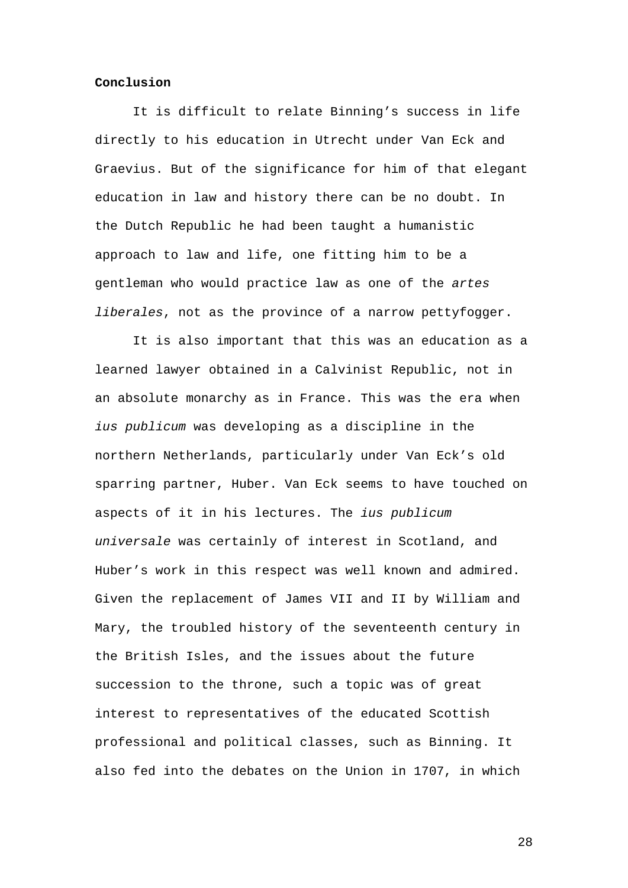#### **Conclusion**

It is difficult to relate Binning's success in life directly to his education in Utrecht under Van Eck and Graevius. But of the significance for him of that elegant education in law and history there can be no doubt. In the Dutch Republic he had been taught a humanistic approach to law and life, one fitting him to be a gentleman who would practice law as one of the *artes liberales*, not as the province of a narrow pettyfogger.

It is also important that this was an education as a learned lawyer obtained in a Calvinist Republic, not in an absolute monarchy as in France. This was the era when *ius publicum* was developing as a discipline in the northern Netherlands, particularly under Van Eck's old sparring partner, Huber. Van Eck seems to have touched on aspects of it in his lectures. The *ius publicum universale* was certainly of interest in Scotland, and Huber's work in this respect was well known and admired. Given the replacement of James VII and II by William and Mary, the troubled history of the seventeenth century in the British Isles, and the issues about the future succession to the throne, such a topic was of great interest to representatives of the educated Scottish professional and political classes, such as Binning. It also fed into the debates on the Union in 1707, in which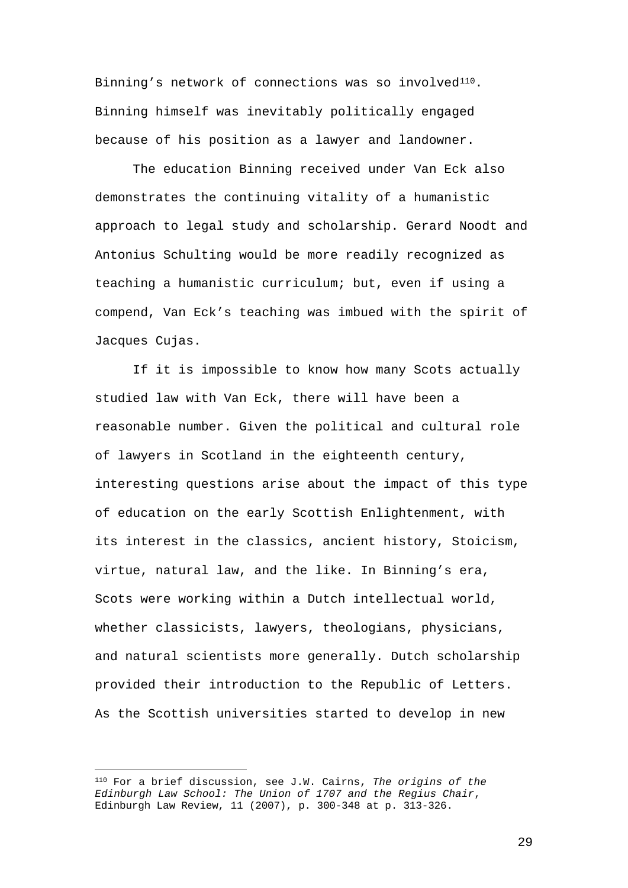Binning's network of connections was so involved<sup>[110](#page-29-0)</sup>. Binning himself was inevitably politically engaged because of his position as a lawyer and landowner.

The education Binning received under Van Eck also demonstrates the continuing vitality of a humanistic approach to legal study and scholarship. Gerard Noodt and Antonius Schulting would be more readily recognized as teaching a humanistic curriculum; but, even if using a compend, Van Eck's teaching was imbued with the spirit of Jacques Cujas.

If it is impossible to know how many Scots actually studied law with Van Eck, there will have been a reasonable number. Given the political and cultural role of lawyers in Scotland in the eighteenth century, interesting questions arise about the impact of this type of education on the early Scottish Enlightenment, with its interest in the classics, ancient history, Stoicism, virtue, natural law, and the like. In Binning's era, Scots were working within a Dutch intellectual world, whether classicists, lawyers, theologians, physicians, and natural scientists more generally. Dutch scholarship provided their introduction to the Republic of Letters. As the Scottish universities started to develop in new

<span id="page-29-0"></span><sup>—</sup> <sup>110</sup> For a brief discussion, see J.W. Cairns, *The origins of the Edinburgh Law School: The Union of 1707 and the Regius Chair*, Edinburgh Law Review, 11 (2007), p. 300-348 at p. 313-326.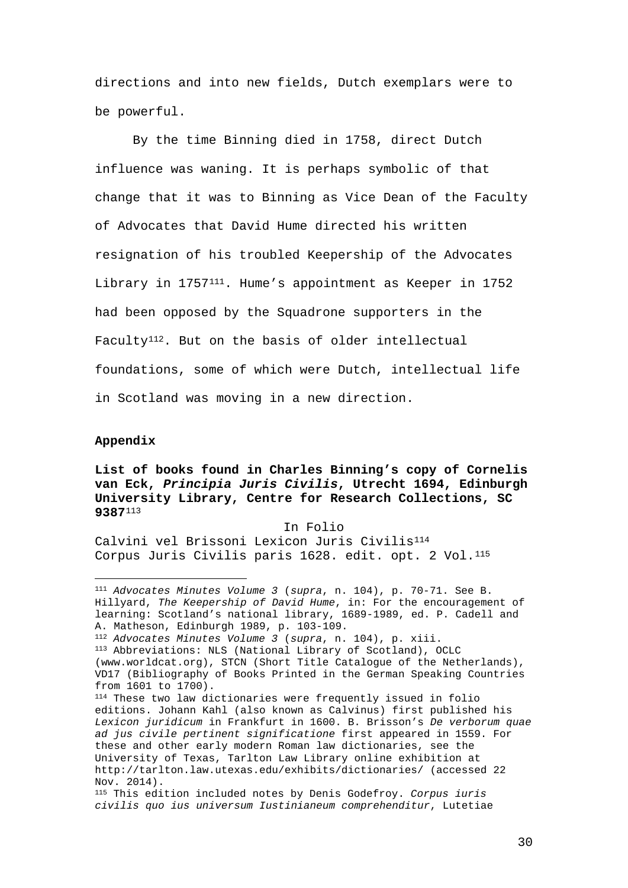directions and into new fields, Dutch exemplars were to be powerful.

By the time Binning died in 1758, direct Dutch influence was waning. It is perhaps symbolic of that change that it was to Binning as Vice Dean of the Faculty of Advocates that David Hume directed his written resignation of his troubled Keepership of the Advocates Library in 1757[111.](#page-30-0) Hume's appointment as Keeper in 1752 had been opposed by the Squadrone supporters in the Faculty<sup>[112](#page-30-1)</sup>. But on the basis of older intellectual foundations, some of which were Dutch, intellectual life in Scotland was moving in a new direction.

# **Appendix**

—

**List of books found in Charles Binning's copy of Cornelis van Eck,** *Principia Juris Civilis***, Utrecht 1694, Edinburgh University Library, Centre for Research Collections, SC 9387**[113](#page-30-2)

#### In Folio

Calvini vel Brissoni Lexicon Juris Civilis<sup>[114](#page-30-3)</sup> Corpus Juris Civilis paris 1628. edit. opt. 2 Vol.<sup>115</sup>

<span id="page-30-0"></span><sup>111</sup> *Advocates Minutes Volume 3* (*supra*, n. 104), p. 70-71. See B. Hillyard, *The Keepership of David Hume*, in: For the encouragement of learning: Scotland's national library, 1689-1989, ed. P. Cadell and A. Matheson, Edinburgh 1989, p. 103-109.

<span id="page-30-1"></span><sup>112</sup> *Advocates Minutes Volume 3* (*supra*, n. 104), p. xiii.

<span id="page-30-2"></span><sup>113</sup> Abbreviations: NLS (National Library of Scotland), OCLC (www.worldcat.org), STCN (Short Title Catalogue of the Netherlands), VD17 (Bibliography of Books Printed in the German Speaking Countries from 1601 to 1700).

<span id="page-30-3"></span><sup>114</sup> These two law dictionaries were frequently issued in folio editions. Johann Kahl (also known as Calvinus) first published his *Lexicon juridicum* in Frankfurt in 1600. B. Brisson's *De verborum quae ad jus civile pertinent significatione* first appeared in 1559. For these and other early modern Roman law dictionaries, see the University of Texas, Tarlton Law Library online exhibition at http://tarlton.law.utexas.edu/exhibits/dictionaries/ (accessed 22 Nov. 2014).

<span id="page-30-4"></span><sup>115</sup> This edition included notes by Denis Godefroy. *Corpus iuris civilis quo ius universum Iustinianeum comprehenditur*, Lutetiae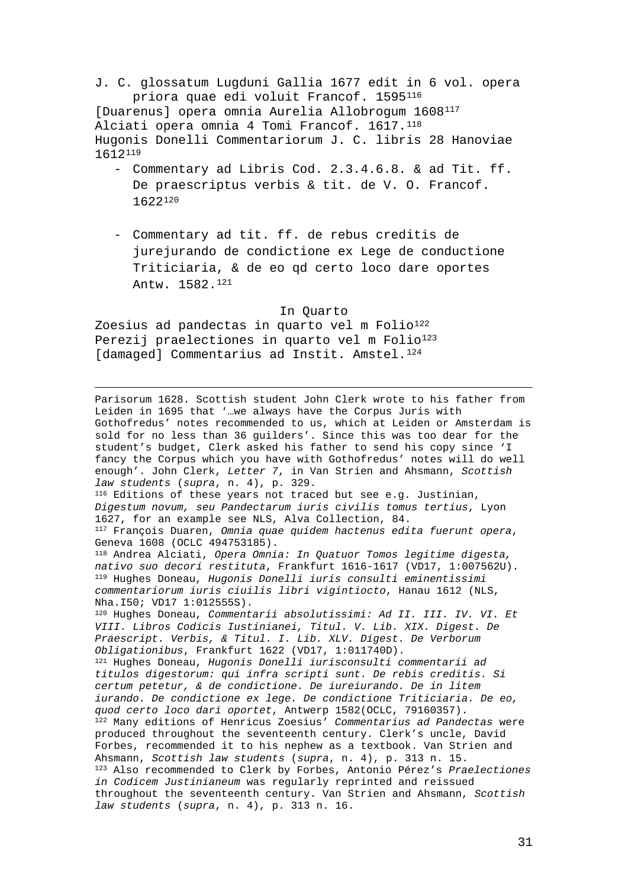J. C. glossatum Lugduni Gallia 1677 edit in 6 vol. opera priora quae edi voluit Francof. 1595[116](#page-31-0) [Duarenus] opera omnia Aurelia Allobrogum 1608<sup>[117](#page-31-1)</sup> Alciati opera omnia 4 Tomi Francof. 1617.<sup>[118](#page-31-2)</sup> Hugonis Donelli Commentariorum J. C. libris 28 Hanoviae 1612[119](#page-31-3)

- Commentary ad Libris Cod. 2.3.4.6.8. & ad Tit. ff. De praescriptus verbis & tit. de V. O. Francof. 1622[120](#page-31-4)
- Commentary ad tit. ff. de rebus creditis de jurejurando de condictione ex Lege de conductione Triticiaria, & de eo qd certo loco dare oportes Antw. 1582.[121](#page-31-5)

### In Quarto

<span id="page-31-8"></span>Zoesius ad pandectas in quarto vel m Folio<sup>[122](#page-31-6)</sup> Perezij praelectiones in quarto vel m Folio<sup>[123](#page-31-7)</sup> [damaged] Commentarius ad Instit. Amstel.<sup>[124](#page-31-8)</sup>

<span id="page-31-7"></span><span id="page-31-6"></span><span id="page-31-5"></span><span id="page-31-4"></span><span id="page-31-3"></span><span id="page-31-2"></span><span id="page-31-1"></span><span id="page-31-0"></span> Parisorum 1628. Scottish student John Clerk wrote to his father from Leiden in 1695 that '…we always have the Corpus Juris with Gothofredus' notes recommended to us, which at Leiden or Amsterdam is sold for no less than 36 guilders'. Since this was too dear for the student's budget, Clerk asked his father to send his copy since 'I fancy the Corpus which you have with Gothofredus' notes will do well enough'. John Clerk, *Letter 7*, in Van Strien and Ahsmann, *Scottish law students* (*supra*, n. 4), p. 329. 116 Editions of these years not traced but see e.g. Justinian, *Digestum novum, seu Pandectarum iuris civilis tomus tertius*, Lyon 1627, for an example see NLS, Alva Collection, 84. <sup>117</sup> François Duaren, *Omnia quae quidem hactenus edita fuerunt opera*, Geneva 1608 (OCLC 494753185). <sup>118</sup> Andrea Alciati, *Opera Omnia: In Quatuor Tomos legitime digesta, nativo suo decori restituta*, Frankfurt 1616-1617 (VD17, 1:007562U). <sup>119</sup> Hughes Doneau, *Hugonis Donelli iuris consulti eminentissimi commentariorum iuris ciuilis libri vigintiocto*, Hanau 1612 (NLS, Nha.I50; VD17 1:012555S). <sup>120</sup> Hughes Doneau, *Commentarii absolutissimi: Ad II. III. IV. VI. Et VIII. Libros Codicis Iustinianei, Titul. V. Lib. XIX. Digest. De Praescript. Verbis, & Titul. I. Lib. XLV. Digest. De Verborum Obligationibus*, Frankfurt 1622 (VD17, 1:011740D). <sup>121</sup> Hughes Doneau, *Hugonis Donelli iurisconsulti commentarii ad titulos digestorum: qui infra scripti sunt. De rebis creditis. Si certum petetur, & de condictione. De iureiurando. De in litem iurando. De condictione ex lege. De condictione Triticiaria. De eo, quod certo loco dari oportet*, Antwerp 1582(OCLC, 79160357). <sup>122</sup> Many editions of Henricus Zoesius' *Commentarius ad Pandectas* were produced throughout the seventeenth century. Clerk's uncle, David Forbes, recommended it to his nephew as a textbook. Van Strien and Ahsmann, *Scottish law students* (*supra*, n. 4), p. 313 n. 15. <sup>123</sup> Also recommended to Clerk by Forbes, Antonio Pérez's *Praelectiones in Codicem Justinianeum* was regularly reprinted and reissued throughout the seventeenth century. Van Strien and Ahsmann, *Scottish law students* (*supra*, n. 4), p. 313 n. 16.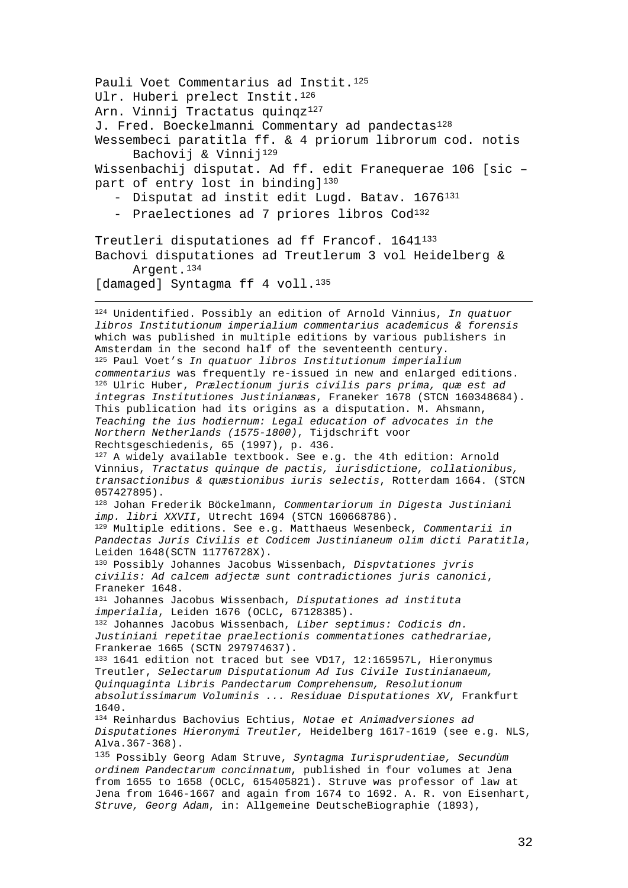<span id="page-32-10"></span><span id="page-32-9"></span><span id="page-32-8"></span><span id="page-32-7"></span><span id="page-32-6"></span><span id="page-32-5"></span><span id="page-32-4"></span><span id="page-32-3"></span><span id="page-32-2"></span><span id="page-32-1"></span><span id="page-32-0"></span>Pauli Voet Commentarius ad Instit.<sup>[125](#page-32-0)</sup> Ulr. Huberi prelect Instit.<sup>[126](#page-32-1)</sup> Arn. Vinnij Tractatus quinqz<sup>[127](#page-32-2)</sup> J. Fred. Boeckelmanni Commentary ad pandectas<sup>128</sup> Wessembeci paratitla ff. & 4 priorum librorum cod. notis Bachovij & Vinnij[129](#page-32-4) Wissenbachij disputat. Ad ff. edit Franequerae 106 [sic – part of entry lost in binding]<sup>[130](#page-32-5)</sup> - Disputat ad instit edit Lugd. Batav. 1676<sup>[131](#page-32-6)</sup> - Praelectiones ad 7 priores libros Cod<sup>[132](#page-32-7)</sup> Treutleri disputationes ad ff Francof. 1641[133](#page-32-8) Bachovi disputationes ad Treutlerum 3 vol Heidelberg & Argent.<sup>[134](#page-32-9)</sup> [damaged] Syntagma ff 4 voll.<sup>[135](#page-32-10)</sup> 124 Unidentified. Possibly an edition of Arnold Vinnius, *In quatuor libros Institutionum imperialium commentarius academicus & forensis* which was published in multiple editions by various publishers in Amsterdam in the second half of the seventeenth century. <sup>125</sup> Paul Voet's *In [quatuor](http://picarta.pica.nl/DB=3.11/SET=4/TTL=3/CLK?IKT=4&TRM=quatuor) [libros](http://picarta.pica.nl/DB=3.11/SET=4/TTL=3/CLK?IKT=4&TRM=libros) [Institutionum](http://picarta.pica.nl/DB=3.11/SET=4/TTL=3/CLK?IKT=4&TRM=Institutionum) [imperialium](http://picarta.pica.nl/DB=3.11/SET=4/TTL=3/CLK?IKT=4&TRM=imperialium) commentarius* was frequently re-issued in new and enlarged editions. <sup>126</sup> Ulric Huber, *Prælectionum juris civilis pars prima, quæ est ad integras Institutiones Justinianæas*, Franeker 1678 (STCN 160348684). This publication had its origins as a disputation. M. Ahsmann, *Teaching the ius hodiernum: Legal education of advocates in the Northern Netherlands (1575-1800)*, Tijdschrift voor  $127$  A widely available textbook. See e.g. the 4th edition: Arnold Vinnius, *[Tractatus](http://picarta.pica.nl/DB=3.11/SET=8/TTL=29/CLK?IKT=4&TRM=Tractatus) [quinque](http://picarta.pica.nl/DB=3.11/SET=8/TTL=29/CLK?IKT=4&TRM=quinque) de [pactis,](http://picarta.pica.nl/DB=3.11/SET=8/TTL=29/CLK?IKT=4&TRM=pactis,) [iurisdictione,](http://picarta.pica.nl/DB=3.11/SET=8/TTL=29/CLK?IKT=4&TRM=iurisdictione,) [collationibus,](http://picarta.pica.nl/DB=3.11/SET=8/TTL=29/CLK?IKT=4&TRM=collationibus,) [transactionibus](http://picarta.pica.nl/DB=3.11/SET=8/TTL=29/CLK?IKT=4&TRM=transactionibus) & [quæstionibus](http://picarta.pica.nl/DB=3.11/SET=8/TTL=29/CLK?IKT=4&TRM=qu%C3%A6stionibus) [iuris](http://picarta.pica.nl/DB=3.11/SET=8/TTL=29/CLK?IKT=4&TRM=iuris) selectis*, Rotterdam 1664. (STCN 057427895). <sup>128</sup> Johan Frederik Böckelmann, *[Commentariorum](http://picarta.pica.nl/DB=3.11/SET=9/TTL=1/CLK?IKT=4&TRM=Commentariorum) in [Digesta](http://picarta.pica.nl/DB=3.11/SET=9/TTL=1/CLK?IKT=4&TRM=Digesta) [Justiniani](http://picarta.pica.nl/DB=3.11/SET=9/TTL=1/CLK?IKT=4&TRM=Justiniani) [imp.](http://picarta.pica.nl/DB=3.11/SET=9/TTL=1/CLK?IKT=4&TRM=imp.) [libri](http://picarta.pica.nl/DB=3.11/SET=9/TTL=1/CLK?IKT=4&TRM=libri) XXVII*, Utrecht 1694 (STCN 160668786). <sup>129</sup> Multiple editions. See e.g. Matthaeus Wesenbeck, *Commentarii in Pandectas Juris Civilis et Codicem Justinianeum olim dicti Paratitla*, Leiden 1648(SCTN 11776728X). <sup>130</sup> Possibly Johannes Jacobus Wissenbach, *Dispvtationes jvris civilis: Ad calcem adjectæ sunt contradictiones juris canonici*, Franeker 1648. <sup>131</sup> Johannes Jacobus Wissenbach, *Disputationes ad instituta imperialia*, Leiden 1676 (OCLC**,** 67128385). <sup>132</sup> Johannes Jacobus Wissenbach, *Liber septimus: Codicis dn. Justiniani repetitae praelectionis commentationes cathedrariae*, Frankerae 1665 (SCTN 297974637). <sup>133</sup> 1641 edition not traced but see VD17, 12:165957L, Hieronymus Treutler, *[Selectarum](http://gso.gbv.de/DB=1.28/SET=6/TTL=25/MAT=/NOMAT=T/CLK?IKT=1016&TRM=Selectarum) [Disputationum](http://gso.gbv.de/DB=1.28/SET=6/TTL=25/MAT=/NOMAT=T/CLK?IKT=1016&TRM=Disputationum) [Ad](http://gso.gbv.de/DB=1.28/SET=6/TTL=25/MAT=/NOMAT=T/CLK?IKT=1016&TRM=Ad) [Ius](http://gso.gbv.de/DB=1.28/SET=6/TTL=25/MAT=/NOMAT=T/CLK?IKT=1016&TRM=Ius) [Civile](http://gso.gbv.de/DB=1.28/SET=6/TTL=25/MAT=/NOMAT=T/CLK?IKT=1016&TRM=Civile) [Iustinianaeum,](http://gso.gbv.de/DB=1.28/SET=6/TTL=25/MAT=/NOMAT=T/CLK?IKT=1016&TRM=Iustinianaeum,) [Quinquaginta](http://gso.gbv.de/DB=1.28/SET=6/TTL=25/MAT=/NOMAT=T/CLK?IKT=1016&TRM=Quinquaginta) [Libris](http://gso.gbv.de/DB=1.28/SET=6/TTL=25/MAT=/NOMAT=T/CLK?IKT=1016&TRM=Libris) [Pandectarum](http://gso.gbv.de/DB=1.28/SET=6/TTL=25/MAT=/NOMAT=T/CLK?IKT=1016&TRM=Pandectarum) [Comprehensum,](http://gso.gbv.de/DB=1.28/SET=6/TTL=25/MAT=/NOMAT=T/CLK?IKT=1016&TRM=Comprehensum,) [Resolutionum](http://gso.gbv.de/DB=1.28/SET=6/TTL=25/MAT=/NOMAT=T/CLK?IKT=1016&TRM=Resolutionum) [absolutissimarum](http://gso.gbv.de/DB=1.28/SET=6/TTL=25/MAT=/NOMAT=T/CLK?IKT=1016&TRM=absolutissimarum) [Voluminis](http://gso.gbv.de/DB=1.28/SET=6/TTL=25/MAT=/NOMAT=T/CLK?IKT=1016&TRM=Voluminis) ... [Residuae](http://gso.gbv.de/DB=1.28/SET=6/TTL=25/MAT=/NOMAT=T/CLK?IKT=1016&TRM=Residuae) [Disputationes](http://gso.gbv.de/DB=1.28/SET=6/TTL=25/MAT=/NOMAT=T/CLK?IKT=1016&TRM=Disputationes) [XV](http://gso.gbv.de/DB=1.28/SET=6/TTL=25/MAT=/NOMAT=T/CLK?IKT=1016&TRM=XV)*, Frankfurt 1640. <sup>134</sup> Reinhardus Bachovius Echtius, *Notae et Animadversiones ad Disputationes Hieronymi Treutler,* Heidelberg 1617-1619 (see e.g. NLS, Alva.367-368). <sup>135</sup> Possibly Georg Adam Struve, *Syntagma Iurisprudentiae, Secundùm ordinem Pandectarum concinnatum*, published in four volumes at Jena from 1655 to 1658 (OCLC, 615405821). Struve was professor of law at Jena from 1646-1667 and again from 1674 to 1692. A. R. von Eisenhart, *Struve, Georg Adam*, in: Allgemeine DeutscheBiographie (1893),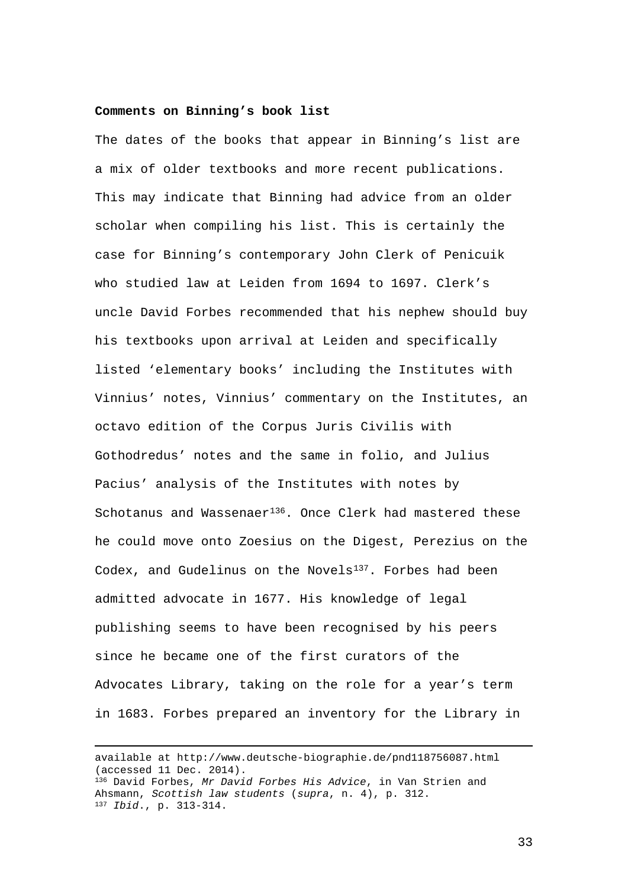# **Comments on Binning's book list**

The dates of the books that appear in Binning's list are a mix of older textbooks and more recent publications. This may indicate that Binning had advice from an older scholar when compiling his list. This is certainly the case for Binning's contemporary John Clerk of Penicuik who studied law at Leiden from 1694 to 1697. Clerk's uncle David Forbes recommended that his nephew should buy his textbooks upon arrival at Leiden and specifically listed 'elementary books' including the Institutes with Vinnius' notes, Vinnius' commentary on the Institutes, an octavo edition of the Corpus Juris Civilis with Gothodredus' notes and the same in folio, and Julius Pacius' analysis of the Institutes with notes by Schotanus and Wassenaer<sup>[136](#page-33-0)</sup>. Once Clerk had mastered these he could move onto Zoesius on the Digest, Perezius on the Codex, and Gudelinus on the Novels<sup>137</sup>. Forbes had been admitted advocate in 1677. His knowledge of legal publishing seems to have been recognised by his peers since he became one of the first curators of the Advocates Library, taking on the role for a year's term in 1683. Forbes prepared an inventory for the Library in

<span id="page-33-1"></span><span id="page-33-0"></span> available at http://www.deutsche-biographie.de/pnd118756087.html (accessed 11 Dec. 2014). <sup>136</sup> David Forbes, *Mr David Forbes His Advice*, in Van Strien and Ahsmann, *Scottish law students* (*supra*, n. 4), p. 312. <sup>137</sup> *Ibid*., p. 313-314.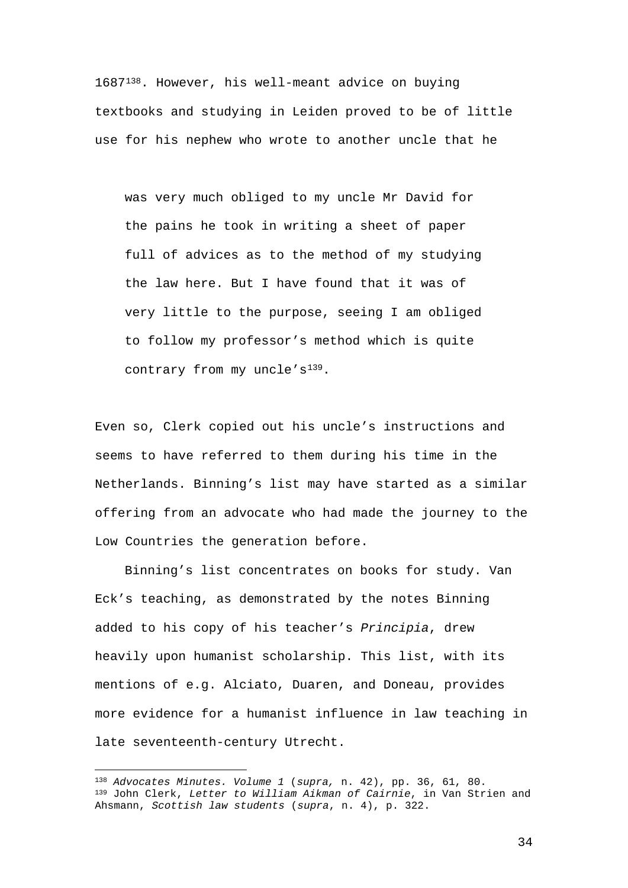1687[138.](#page-34-0) However, his well-meant advice on buying textbooks and studying in Leiden proved to be of little use for his nephew who wrote to another uncle that he

was very much obliged to my uncle Mr David for the pains he took in writing a sheet of paper full of advices as to the method of my studying the law here. But I have found that it was of very little to the purpose, seeing I am obliged to follow my professor's method which is quite contrary from my uncle's<sup>[139](#page-34-1)</sup>.

Even so, Clerk copied out his uncle's instructions and seems to have referred to them during his time in the Netherlands. Binning's list may have started as a similar offering from an advocate who had made the journey to the Low Countries the generation before.

Binning's list concentrates on books for study. Van Eck's teaching, as demonstrated by the notes Binning added to his copy of his teacher's *Principia*, drew heavily upon humanist scholarship. This list, with its mentions of e.g. Alciato, Duaren, and Doneau, provides more evidence for a humanist influence in law teaching in late seventeenth-century Utrecht.

—

<span id="page-34-1"></span><span id="page-34-0"></span><sup>138</sup> *Advocates Minutes. Volume 1* (*supra,* n. 42), pp. 36, 61, 80. <sup>139</sup> John Clerk, *Letter to William Aikman of Cairnie*, in Van Strien and Ahsmann, *Scottish law students* (*supra*, n. 4), p. 322.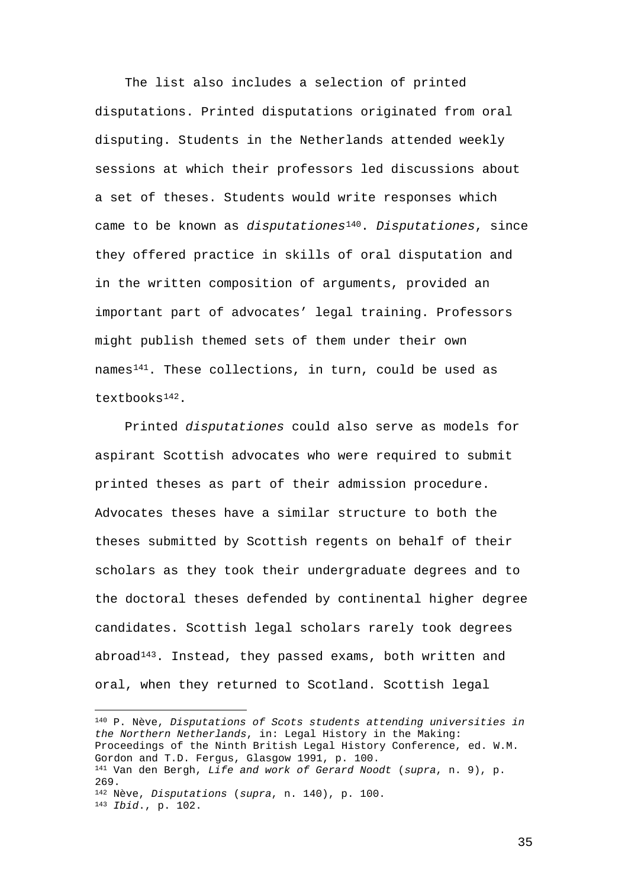The list also includes a selection of printed disputations. Printed disputations originated from oral disputing. Students in the Netherlands attended weekly sessions at which their professors led discussions about a set of theses. Students would write responses which came to be known as *disputationes*[140](#page-35-0). *Disputationes*, since they offered practice in skills of oral disputation and in the written composition of arguments, provided an important part of advocates' legal training. Professors might publish themed sets of them under their own names[141.](#page-35-1) These collections, in turn, could be used as textbooks[142.](#page-35-2)

Printed *disputationes* could also serve as models for aspirant Scottish advocates who were required to submit printed theses as part of their admission procedure. Advocates theses have a similar structure to both the theses submitted by Scottish regents on behalf of their scholars as they took their undergraduate degrees and to the doctoral theses defended by continental higher degree candidates. Scottish legal scholars rarely took degrees abroad[143](#page-35-3). Instead, they passed exams, both written and oral, when they returned to Scotland. Scottish legal

<span id="page-35-3"></span><span id="page-35-2"></span><span id="page-35-1"></span><span id="page-35-0"></span>— <sup>140</sup> P. Nève, *Disputations of Scots students attending universities in the Northern Netherlands*, in: Legal History in the Making: Proceedings of the Ninth British Legal History Conference, ed. W.M. Gordon and T.D. Fergus, Glasgow 1991, p. 100. <sup>141</sup> Van den Bergh, *Life and work of Gerard Noodt* (*supra*, n. 9), p. 269. <sup>142</sup> Nève, *Disputations* (*supra*, n. 140), p. 100. <sup>143</sup> *Ibid*., p. 102.